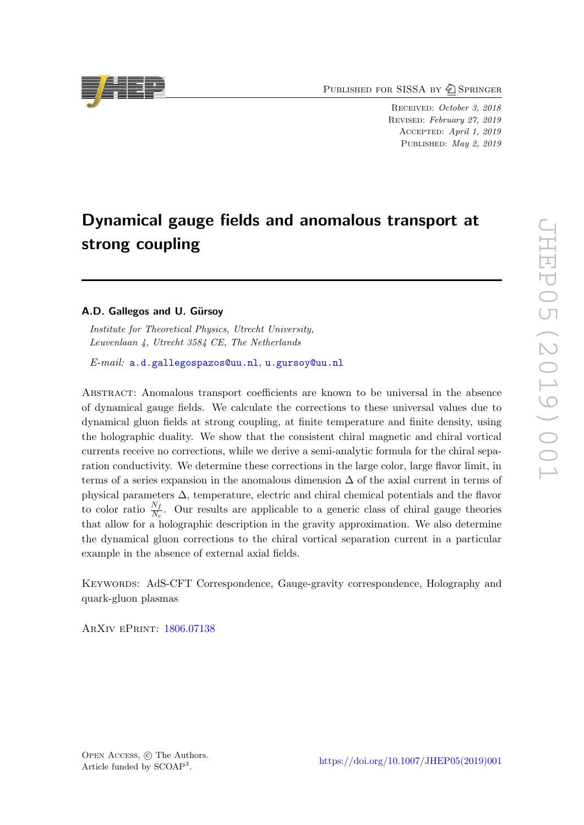PUBLISHED FOR SISSA BY 2 SPRINGER

Received: October 3, 2018 Revised: February 27, 2019 Accepted: April 1, 2019 PUBLISHED: May 2, 2019

# Dynamical gauge fields and anomalous transport at strong coupling

### A.D. Gallegos and U. Gürsoy

Institute for Theoretical Physics, Utrecht University, Leuvenlaan 4, Utrecht 3584 CE, The Netherlands

E-mail: [a.d.gallegospazos@uu.nl](mailto:a.d.gallegospazos@uu.nl), [u.gursoy@uu.nl](mailto:u.gursoy@uu.nl)

Abstract: Anomalous transport coefficients are known to be universal in the absence of dynamical gauge fields. We calculate the corrections to these universal values due to dynamical gluon fields at strong coupling, at finite temperature and finite density, using the holographic duality. We show that the consistent chiral magnetic and chiral vortical currents receive no corrections, while we derive a semi-analytic formula for the chiral separation conductivity. We determine these corrections in the large color, large flavor limit, in terms of a series expansion in the anomalous dimension  $\Delta$  of the axial current in terms of physical parameters ∆, temperature, electric and chiral chemical potentials and the flavor to color ratio  $\frac{N_f}{N_c}$ . Our results are applicable to a generic class of chiral gauge theories that allow for a holographic description in the gravity approximation. We also determine the dynamical gluon corrections to the chiral vortical separation current in a particular example in the absence of external axial fields.

KEYWORDS: AdS-CFT Correspondence, Gauge-gravity correspondence, Holography and quark-gluon plasmas

ArXiv ePrint: [1806.07138](https://arxiv.org/abs/1806.07138)



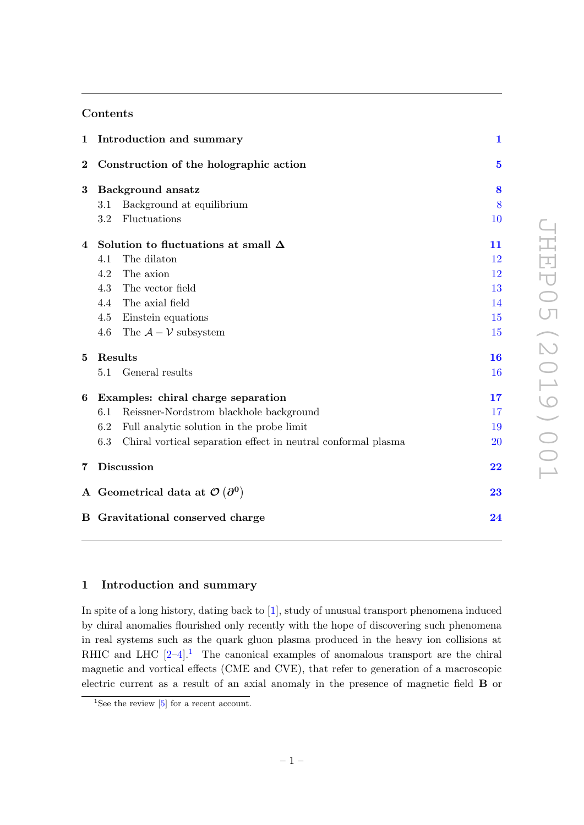# Contents

|                | 1 Introduction and summary                                           | $\mathbf{1}$ |
|----------------|----------------------------------------------------------------------|--------------|
| $\bf{2}$       | Construction of the holographic action                               | $\mathbf{5}$ |
| 3              | Background ansatz                                                    | 8            |
|                | Background at equilibrium<br>3.1                                     | 8            |
|                | Fluctuations<br>3.2                                                  | 10           |
| $\overline{4}$ | Solution to fluctuations at small $\Delta$                           | 11           |
|                | The dilaton<br>4.1                                                   | 12           |
|                | The axion<br>4.2                                                     | 12           |
|                | The vector field<br>4.3                                              | 13           |
|                | The axial field<br>4.4                                               | 14           |
|                | 4.5<br>Einstein equations                                            | 15           |
|                | The $A - V$ subsystem<br>4.6                                         | 15           |
| 5              | Results                                                              | <b>16</b>    |
|                | General results<br>5.1                                               | 16           |
| 6              | Examples: chiral charge separation                                   | 17           |
|                | 6.1<br>Reissner-Nordstrom blackhole background                       | 17           |
|                | Full analytic solution in the probe limit<br>6.2                     | 19           |
|                | 6.3<br>Chiral vortical separation effect in neutral conformal plasma | 20           |
| $\overline{7}$ | <b>Discussion</b>                                                    | 22           |
|                | A Geometrical data at $\mathcal{O}(\partial^0)$                      | 23           |
|                | <b>B</b> Gravitational conserved charge                              | 24           |
|                |                                                                      |              |

JHEP05(2019)001

JHEP05 (2019) 001

## <span id="page-1-0"></span>1 Introduction and summary

In spite of a long history, dating back to [\[1\]](#page-25-0), study of unusual transport phenomena induced by chiral anomalies flourished only recently with the hope of discovering such phenomena in real systems such as the quark gluon plasma produced in the heavy ion collisions at RHIC and LHC  $[2-4]$  $[2-4]$ <sup>[1](#page-1-1)</sup>. The canonical examples of anomalous transport are the chiral magnetic and vortical effects (CME and CVE), that refer to generation of a macroscopic electric current as a result of an axial anomaly in the presence of magnetic field B or

<span id="page-1-1"></span><sup>&</sup>lt;sup>1</sup>See the review  $[5]$  for a recent account.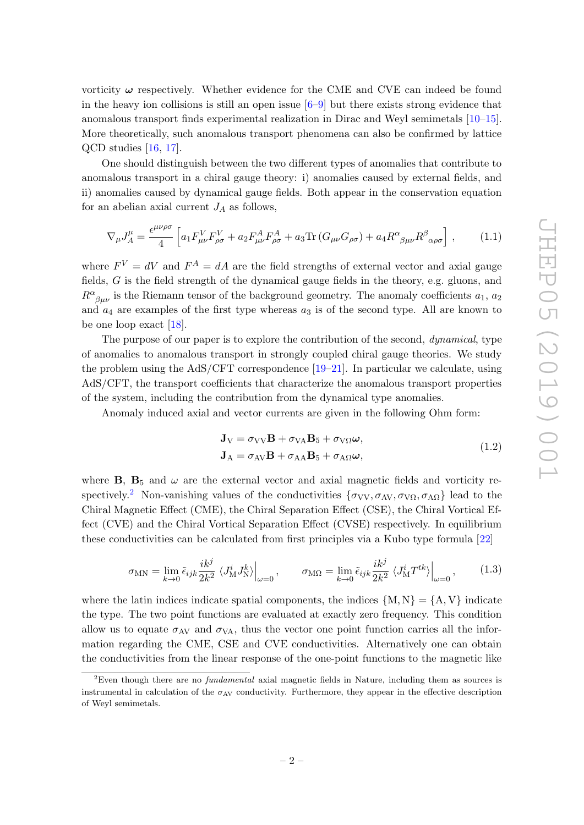vorticity  $\omega$  respectively. Whether evidence for the CME and CVE can indeed be found in the heavy ion collisions is still an open issue  $[6-9]$  but there exists strong evidence that anomalous transport finds experimental realization in Dirac and Weyl semimetals [\[10–](#page-26-0)[15\]](#page-26-1). More theoretically, such anomalous transport phenomena can also be confirmed by lattice QCD studies [\[16,](#page-26-2) [17\]](#page-26-3).

One should distinguish between the two different types of anomalies that contribute to anomalous transport in a chiral gauge theory: i) anomalies caused by external fields, and ii) anomalies caused by dynamical gauge fields. Both appear in the conservation equation for an abelian axial current  $J_A$  as follows,

<span id="page-2-1"></span>
$$
\nabla_{\mu}J_{A}^{\mu} = \frac{\epsilon^{\mu\nu\rho\sigma}}{4} \left[ a_1 F_{\mu\nu}^V F_{\rho\sigma}^V + a_2 F_{\mu\nu}^A F_{\rho\sigma}^A + a_3 \text{Tr} \left( G_{\mu\nu} G_{\rho\sigma} \right) + a_4 R^{\alpha}{}_{\beta\mu\nu} R^{\beta}{}_{\alpha\rho\sigma} \right],\tag{1.1}
$$

where  $F^V = dV$  and  $F^A = dA$  are the field strengths of external vector and axial gauge fields, G is the field strength of the dynamical gauge fields in the theory, e.g. gluons, and  $R^{\alpha}{}_{\beta\mu\nu}$  is the Riemann tensor of the background geometry. The anomaly coefficients  $a_1, a_2$ and  $a_4$  are examples of the first type whereas  $a_3$  is of the second type. All are known to be one loop exact [\[18\]](#page-26-4).

The purpose of our paper is to explore the contribution of the second, *dynamical*, type of anomalies to anomalous transport in strongly coupled chiral gauge theories. We study the problem using the  $AdS/CFT$  correspondence  $[19-21]$ . In particular we calculate, using AdS/CFT, the transport coefficients that characterize the anomalous transport properties of the system, including the contribution from the dynamical type anomalies.

Anomaly induced axial and vector currents are given in the following Ohm form:

$$
\mathbf{J}_{V} = \sigma_{VV} \mathbf{B} + \sigma_{VA} \mathbf{B}_{5} + \sigma_{V\Omega} \boldsymbol{\omega},
$$
  
\n
$$
\mathbf{J}_{A} = \sigma_{AV} \mathbf{B} + \sigma_{AA} \mathbf{B}_{5} + \sigma_{A\Omega} \boldsymbol{\omega},
$$
\n(1.2)

where **B**,  $B_5$  and  $\omega$  are the external vector and axial magnetic fields and vorticity re-spectively.<sup>[2](#page-2-0)</sup> Non-vanishing values of the conductivities  $\{\sigma_{VV}, \sigma_{AV}, \sigma_{V\Omega}, \sigma_{A\Omega}\}\$  lead to the Chiral Magnetic Effect (CME), the Chiral Separation Effect (CSE), the Chiral Vortical Effect (CVE) and the Chiral Vortical Separation Effect (CVSE) respectively. In equilibrium these conductivities can be calculated from first principles via a Kubo type formula [\[22\]](#page-26-7)

$$
\sigma_{MN} = \lim_{k \to 0} \tilde{\epsilon}_{ijk} \frac{ik^j}{2k^2} \left\langle J_M^i J_N^k \right\rangle_{\omega=0}, \qquad \sigma_{M\Omega} = \lim_{k \to 0} \tilde{\epsilon}_{ijk} \frac{ik^j}{2k^2} \left\langle J_M^i T^{tk} \right\rangle_{\omega=0}, \qquad (1.3)
$$

where the latin indices indicate spatial components, the indices  $\{M, N\} = \{A, V\}$  indicate the type. The two point functions are evaluated at exactly zero frequency. This condition allow us to equate  $\sigma_{AV}$  and  $\sigma_{VA}$ , thus the vector one point function carries all the information regarding the CME, CSE and CVE conductivities. Alternatively one can obtain the conductivities from the linear response of the one-point functions to the magnetic like

<span id="page-2-0"></span><sup>&</sup>lt;sup>2</sup>Even though there are no *fundamental* axial magnetic fields in Nature, including them as sources is instrumental in calculation of the  $\sigma_{AV}$  conductivity. Furthermore, they appear in the effective description of Weyl semimetals.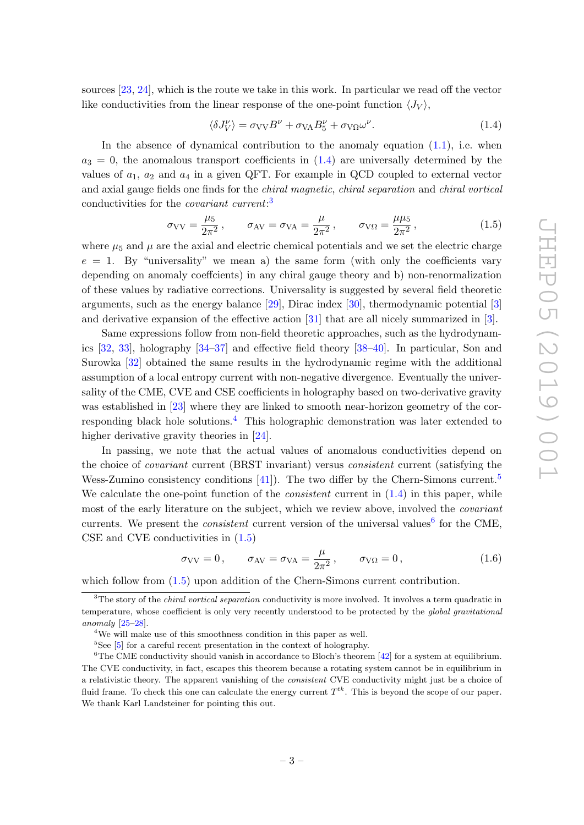sources [\[23,](#page-26-8) [24\]](#page-26-9), which is the route we take in this work. In particular we read off the vector like conductivities from the linear response of the one-point function  $\langle J_V \rangle$ ,

<span id="page-3-0"></span>
$$
\langle \delta J_V^{\nu} \rangle = \sigma_{\text{VV}} B^{\nu} + \sigma_{\text{VA}} B_5^{\nu} + \sigma_{\text{V}\Omega} \omega^{\nu}.
$$
 (1.4)

In the absence of dynamical contribution to the anomaly equation  $(1.1)$ , i.e. when  $a_3 = 0$ , the anomalous transport coefficients in  $(1.4)$  are universally determined by the values of  $a_1$ ,  $a_2$  and  $a_4$  in a given QFT. For example in QCD coupled to external vector and axial gauge fields one finds for the chiral magnetic, chiral separation and chiral vortical conductivities for the *covariant current*:<sup>[3](#page-3-1)</sup>

<span id="page-3-5"></span>
$$
\sigma_{\text{VV}} = \frac{\mu_5}{2\pi^2}, \qquad \sigma_{\text{AV}} = \sigma_{\text{VA}} = \frac{\mu}{2\pi^2}, \qquad \sigma_{\text{V}\Omega} = \frac{\mu\mu_5}{2\pi^2},
$$
\n(1.5)

where  $\mu_5$  and  $\mu$  are the axial and electric chemical potentials and we set the electric charge  $e = 1$ . By "universality" we mean a) the same form (with only the coefficients vary depending on anomaly coeffcients) in any chiral gauge theory and b) non-renormalization of these values by radiative corrections. Universality is suggested by several field theoretic arguments, such as the energy balance [\[29\]](#page-27-0), Dirac index [\[30\]](#page-27-1), thermodynamic potential [\[3\]](#page-25-6) and derivative expansion of the effective action [\[31\]](#page-27-2) that are all nicely summarized in [\[3\]](#page-25-6).

Same expressions follow from non-field theoretic approaches, such as the hydrodynamics [\[32,](#page-27-3) [33\]](#page-27-4), holography [\[34](#page-27-5)[–37\]](#page-27-6) and effective field theory [\[38](#page-27-7)[–40\]](#page-27-8). In particular, Son and Surowka [\[32\]](#page-27-3) obtained the same results in the hydrodynamic regime with the additional assumption of a local entropy current with non-negative divergence. Eventually the universality of the CME, CVE and CSE coefficients in holography based on two-derivative gravity was established in [\[23\]](#page-26-8) where they are linked to smooth near-horizon geometry of the cor-responding black hole solutions.<sup>[4](#page-3-2)</sup> This holographic demonstration was later extended to higher derivative gravity theories in [\[24\]](#page-26-9).

In passing, we note that the actual values of anomalous conductivities depend on the choice of covariant current (BRST invariant) versus consistent current (satisfying the Wess-Zumino consistency conditions [\[41\]](#page-27-9)). The two differ by the Chern-Simons current.<sup>[5](#page-3-3)</sup> We calculate the one-point function of the *consistent* current in  $(1.4)$  in this paper, while most of the early literature on the subject, which we review above, involved the covariant currents. We present the *consistent* current version of the universal values<sup>[6](#page-3-4)</sup> for the CME, CSE and CVE conductivities in [\(1.5\)](#page-3-5)

<span id="page-3-6"></span>
$$
\sigma_{\text{VV}} = 0, \qquad \sigma_{\text{AV}} = \sigma_{\text{VA}} = \frac{\mu}{2\pi^2}, \qquad \sigma_{\text{V}\Omega} = 0, \tag{1.6}
$$

which follow from  $(1.5)$  upon addition of the Chern-Simons current contribution.

<span id="page-3-1"></span> $3$ The story of the *chiral vortical separation* conductivity is more involved. It involves a term quadratic in temperature, whose coefficient is only very recently understood to be protected by the *global gravitational* anomaly [\[25–](#page-26-10)[28\]](#page-26-11).

<span id="page-3-2"></span><sup>&</sup>lt;sup>4</sup>We will make use of this smoothness condition in this paper as well.

<span id="page-3-4"></span><span id="page-3-3"></span> $5$ See [\[5\]](#page-25-3) for a careful recent presentation in the context of holography.

 ${}^{6}$ The CME conductivity should vanish in accordance to Bloch's theorem [\[42\]](#page-27-10) for a system at equilibrium. The CVE conductivity, in fact, escapes this theorem because a rotating system cannot be in equilibrium in a relativistic theory. The apparent vanishing of the consistent CVE conductivity might just be a choice of fluid frame. To check this one can calculate the energy current  $T^{tk}$ . This is beyond the scope of our paper. We thank Karl Landsteiner for pointing this out.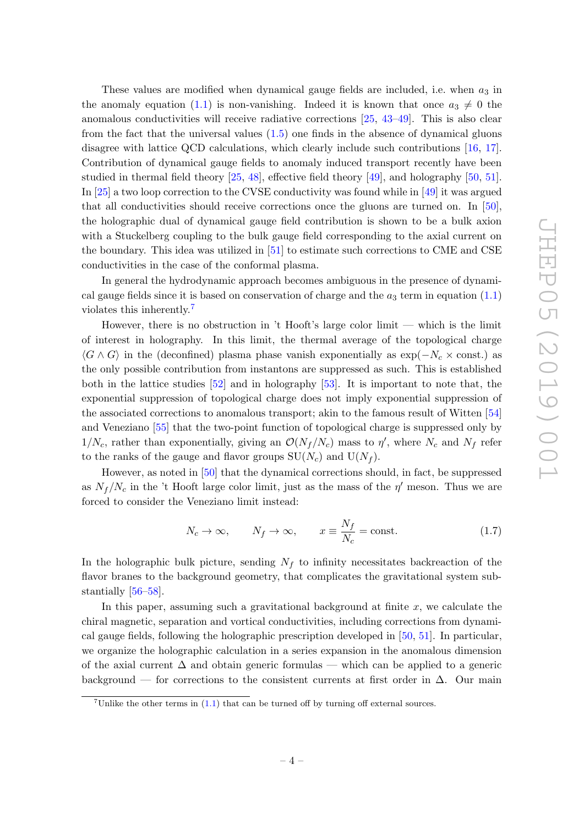These values are modified when dynamical gauge fields are included, i.e. when  $a_3$  in the anomaly equation [\(1.1\)](#page-2-1) is non-vanishing. Indeed it is known that once  $a_3 \neq 0$  the anomalous conductivities will receive radiative corrections [\[25,](#page-26-10) [43](#page-27-11)[–49\]](#page-28-0). This is also clear from the fact that the universal values [\(1.5\)](#page-3-5) one finds in the absence of dynamical gluons disagree with lattice QCD calculations, which clearly include such contributions [\[16,](#page-26-2) [17\]](#page-26-3). Contribution of dynamical gauge fields to anomaly induced transport recently have been studied in thermal field theory [\[25,](#page-26-10) [48\]](#page-28-1), effective field theory [\[49\]](#page-28-0), and holography [\[50,](#page-28-2) [51\]](#page-28-3). In [\[25\]](#page-26-10) a two loop correction to the CVSE conductivity was found while in [\[49\]](#page-28-0) it was argued that all conductivities should receive corrections once the gluons are turned on. In [\[50\]](#page-28-2), the holographic dual of dynamical gauge field contribution is shown to be a bulk axion with a Stuckelberg coupling to the bulk gauge field corresponding to the axial current on the boundary. This idea was utilized in [\[51\]](#page-28-3) to estimate such corrections to CME and CSE conductivities in the case of the conformal plasma.

In general the hydrodynamic approach becomes ambiguous in the presence of dynamical gauge fields since it is based on conservation of charge and the  $a_3$  term in equation [\(1.1\)](#page-2-1) violates this inherently.<sup>[7](#page-4-0)</sup>

However, there is no obstruction in 't Hooft's large color limit — which is the limit of interest in holography. In this limit, the thermal average of the topological charge  $\langle G \wedge G \rangle$  in the (deconfined) plasma phase vanish exponentially as exp( $-N_c \times \text{const.}$ ) as the only possible contribution from instantons are suppressed as such. This is established both in the lattice studies [\[52\]](#page-28-4) and in holography [\[53\]](#page-28-5). It is important to note that, the exponential suppression of topological charge does not imply exponential suppression of the associated corrections to anomalous transport; akin to the famous result of Witten [\[54\]](#page-28-6) and Veneziano [\[55\]](#page-28-7) that the two-point function of topological charge is suppressed only by  $1/N_c$ , rather than exponentially, giving an  $\mathcal{O}(N_f/N_c)$  mass to  $\eta'$ , where  $N_c$  and  $N_f$  refer to the ranks of the gauge and flavor groups  $SU(N_c)$  and  $U(N_f)$ .

However, as noted in [\[50\]](#page-28-2) that the dynamical corrections should, in fact, be suppressed as  $N_f/N_c$  in the 't Hooft large color limit, just as the mass of the  $\eta'$  meson. Thus we are forced to consider the Veneziano limit instead:

<span id="page-4-1"></span>
$$
N_c \to \infty, \qquad N_f \to \infty, \qquad x \equiv \frac{N_f}{N_c} = \text{const.} \tag{1.7}
$$

In the holographic bulk picture, sending  $N_f$  to infinity necessitates backreaction of the flavor branes to the background geometry, that complicates the gravitational system substantially [\[56–](#page-28-8)[58\]](#page-28-9).

In this paper, assuming such a gravitational background at finite  $x$ , we calculate the chiral magnetic, separation and vortical conductivities, including corrections from dynamical gauge fields, following the holographic prescription developed in [\[50,](#page-28-2) [51\]](#page-28-3). In particular, we organize the holographic calculation in a series expansion in the anomalous dimension of the axial current  $\Delta$  and obtain generic formulas — which can be applied to a generic background — for corrections to the consistent currents at first order in  $\Delta$ . Our main

<span id="page-4-0"></span><sup>&</sup>lt;sup>7</sup>Unlike the other terms in  $(1.1)$  that can be turned off by turning off external sources.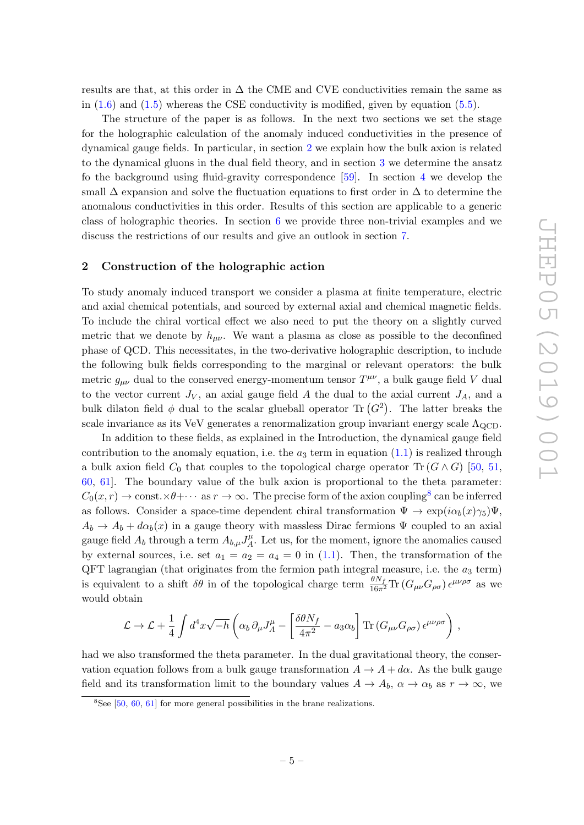results are that, at this order in  $\Delta$  the CME and CVE conductivities remain the same as in  $(1.6)$  and  $(1.5)$  whereas the CSE conductivity is modified, given by equation  $(5.5)$ .

The structure of the paper is as follows. In the next two sections we set the stage for the holographic calculation of the anomaly induced conductivities in the presence of dynamical gauge fields. In particular, in section [2](#page-5-0) we explain how the bulk axion is related to the dynamical gluons in the dual field theory, and in section [3](#page-8-0) we determine the ansatz fo the background using fluid-gravity correspondence [\[59\]](#page-28-10). In section [4](#page-11-0) we develop the small  $\Delta$  expansion and solve the fluctuation equations to first order in  $\Delta$  to determine the anomalous conductivities in this order. Results of this section are applicable to a generic class of holographic theories. In section [6](#page-17-0) we provide three non-trivial examples and we discuss the restrictions of our results and give an outlook in section [7.](#page-22-0)

#### <span id="page-5-0"></span>2 Construction of the holographic action

To study anomaly induced transport we consider a plasma at finite temperature, electric and axial chemical potentials, and sourced by external axial and chemical magnetic fields. To include the chiral vortical effect we also need to put the theory on a slightly curved metric that we denote by  $h_{\mu\nu}$ . We want a plasma as close as possible to the deconfined phase of QCD. This necessitates, in the two-derivative holographic description, to include the following bulk fields corresponding to the marginal or relevant operators: the bulk metric  $g_{\mu\nu}$  dual to the conserved energy-momentum tensor  $T^{\mu\nu}$ , a bulk gauge field V dual to the vector current  $J_V$ , an axial gauge field A the dual to the axial current  $J_A$ , and a bulk dilaton field  $\phi$  dual to the scalar glueball operator Tr  $(G^2)$ . The latter breaks the scale invariance as its VeV generates a renormalization group invariant energy scale  $\Lambda_{\text{QCD}}$ .

In addition to these fields, as explained in the Introduction, the dynamical gauge field contribution to the anomaly equation, i.e. the  $a_3$  term in equation  $(1.1)$  is realized through a bulk axion field  $C_0$  that couples to the topological charge operator Tr  $(G \wedge G)$  [\[50,](#page-28-2) [51,](#page-28-3) [60,](#page-28-11) [61\]](#page-28-12). The boundary value of the bulk axion is proportional to the theta parameter:  $C_0(x,r) \to \text{const.} \times \theta + \cdots$  as  $r \to \infty$ . The precise form of the axion coupling<sup>[8](#page-5-1)</sup> can be inferred as follows. Consider a space-time dependent chiral transformation  $\Psi \to \exp(i\alpha_b(x)\gamma_5)\Psi$ ,  $A_b \to A_b + d\alpha_b(x)$  in a gauge theory with massless Dirac fermions  $\Psi$  coupled to an axial gauge field  $A_b$  through a term  $A_{b,\mu}J_A^{\mu}$  $\mu_A^{\mu}$ . Let us, for the moment, ignore the anomalies caused by external sources, i.e. set  $a_1 = a_2 = a_4 = 0$  in [\(1.1\)](#page-2-1). Then, the transformation of the QFT lagrangian (that originates from the fermion path integral measure, i.e. the  $a_3$  term) is equivalent to a shift  $\delta\theta$  in of the topological charge term  $\frac{\theta N_f}{16\pi^2} \text{Tr} (G_{\mu\nu} G_{\rho\sigma}) \epsilon^{\mu\nu\rho\sigma}$  as we would obtain

$$
\mathcal{L} \to \mathcal{L} + \frac{1}{4} \int d^4x \sqrt{-h} \left( \alpha_b \, \partial_\mu J_A^\mu - \left[ \frac{\delta \theta N_f}{4\pi^2} - a_3 \alpha_b \right] \text{Tr} \left( G_{\mu\nu} G_{\rho\sigma} \right) \epsilon^{\mu\nu\rho\sigma} \right) \,,
$$

had we also transformed the theta parameter. In the dual gravitational theory, the conservation equation follows from a bulk gauge transformation  $A \to A + d\alpha$ . As the bulk gauge field and its transformation limit to the boundary values  $A \to A_b$ ,  $\alpha \to \alpha_b$  as  $r \to \infty$ , we

<span id="page-5-1"></span> $8$ See [\[50,](#page-28-2) [60,](#page-28-11) [61\]](#page-28-12) for more general possibilities in the brane realizations.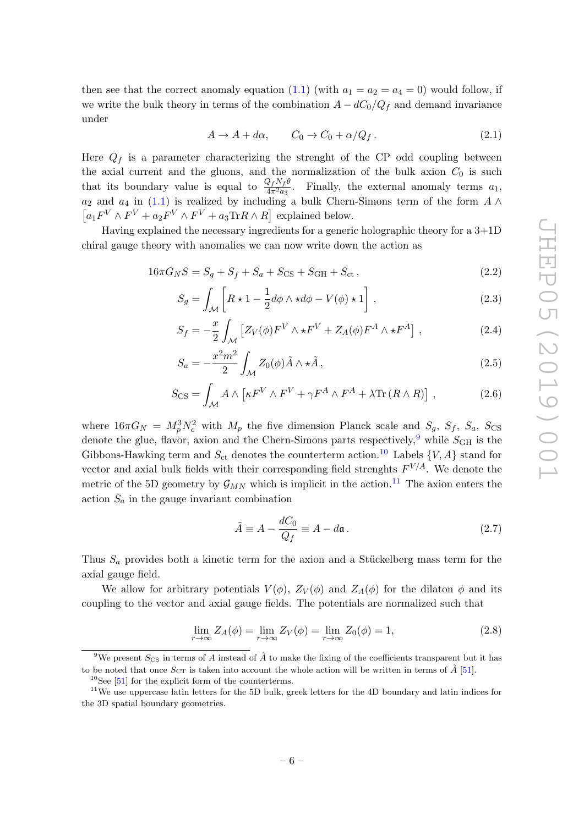then see that the correct anomaly equation [\(1.1\)](#page-2-1) (with  $a_1 = a_2 = a_4 = 0$ ) would follow, if we write the bulk theory in terms of the combination  $A - dC_0/Q_f$  and demand invariance under

<span id="page-6-6"></span><span id="page-6-4"></span>
$$
A \to A + d\alpha, \qquad C_0 \to C_0 + \alpha/Q_f. \tag{2.1}
$$

Here  $Q_f$  is a parameter characterizing the strenght of the CP odd coupling between the axial current and the gluons, and the normalization of the bulk axion  $C_0$  is such that its boundary value is equal to  $\frac{Q_f N_f \theta}{4\pi^2 a_3}$ . Finally, the external anomaly terms  $a_1$ ,  $a_2$  and  $a_4$  in [\(1.1\)](#page-2-1) is realized by including a bulk Chern-Simons term of the form  $A \wedge$  $[a_1 F^V \wedge F^V + a_2 F^V \wedge F^V + a_3 \text{Tr} R \wedge R]$  explained below.

Having explained the necessary ingredients for a generic holographic theory for a 3+1D chiral gauge theory with anomalies we can now write down the action as

$$
16\pi G_N S = S_g + S_f + S_a + S_{\text{CS}} + S_{\text{GH}} + S_{\text{ct}} ,
$$
\n(2.2)

$$
S_g = \int_{\mathcal{M}} \left[ R \star 1 - \frac{1}{2} d\phi \wedge \star d\phi - V(\phi) \star 1 \right],
$$
 (2.3)

$$
S_f = -\frac{x}{2} \int_{\mathcal{M}} \left[ Z_V(\phi) F^V \wedge \star F^V + Z_A(\phi) F^A \wedge \star F^A \right], \qquad (2.4)
$$

$$
S_a = -\frac{x^2 m^2}{2} \int_{\mathcal{M}} Z_0(\phi) \tilde{A} \wedge \star \tilde{A}, \qquad (2.5)
$$

$$
S_{\rm CS} = \int_{\mathcal{M}} A \wedge \left[ \kappa F^V \wedge F^V + \gamma F^A \wedge F^A + \lambda \text{Tr} \left( R \wedge R \right) \right] \,, \tag{2.6}
$$

where  $16\pi G_N = M_p^3 N_c^2$  with  $M_p$  the five dimension Planck scale and  $S_g$ ,  $S_f$ ,  $S_a$ ,  $S_{CS}$ denote the glue, flavor, axion and the Chern-Simons parts respectively, while  $S_{GH}$  is the Gibbons-Hawking term and  $S_{\text{ct}}$  denotes the counterterm action.<sup>[10](#page-6-1)</sup> Labels  $\{V, A\}$  stand for vector and axial bulk fields with their corresponding field strenghts  $F^{V/A}$ . We denote the metric of the 5D geometry by  $\mathcal{G}_{MN}$  which is implicit in the action.<sup>[11](#page-6-2)</sup> The axion enters the action  $S_a$  in the gauge invariant combination

<span id="page-6-7"></span><span id="page-6-5"></span><span id="page-6-3"></span>
$$
\tilde{A} \equiv A - \frac{dC_0}{Q_f} \equiv A - d\mathfrak{a} \,. \tag{2.7}
$$

Thus  $S_a$  provides both a kinetic term for the axion and a Stückelberg mass term for the axial gauge field.

We allow for arbitrary potentials  $V(\phi)$ ,  $Z_V(\phi)$  and  $Z_A(\phi)$  for the dilaton  $\phi$  and its coupling to the vector and axial gauge fields. The potentials are normalized such that

$$
\lim_{r \to \infty} Z_A(\phi) = \lim_{r \to \infty} Z_V(\phi) = \lim_{r \to \infty} Z_0(\phi) = 1,
$$
\n(2.8)

<span id="page-6-0"></span><sup>&</sup>lt;sup>9</sup>We present  $S_{\text{CS}}$  in terms of A instead of  $\tilde{A}$  to make the fixing of the coefficients transparent but it has to be noted that once  $S_{\text{CT}}$  is taken into account the whole action will be written in terms of  $\tilde{A}$  [\[51\]](#page-28-3).

<span id="page-6-2"></span><span id="page-6-1"></span> $^{10}\mathrm{See}$  [\[51\]](#page-28-3) for the explicit form of the counterterms.

<sup>&</sup>lt;sup>11</sup>We use uppercase latin letters for the 5D bulk, greek letters for the 4D boundary and latin indices for the 3D spatial boundary geometries.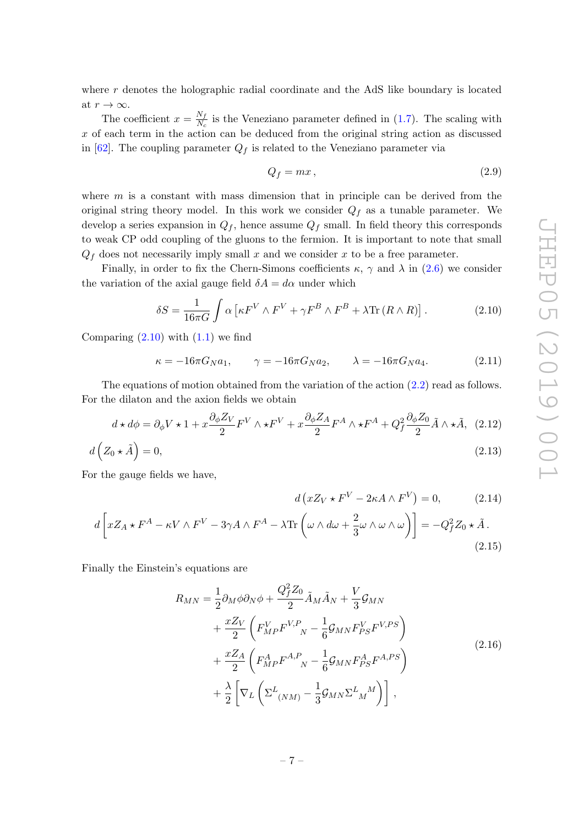where  $r$  denotes the holographic radial coordinate and the AdS like boundary is located at  $r \to \infty$ .

The coefficient  $x = \frac{N_f}{N}$  $\frac{N_f}{N_c}$  is the Veneziano parameter defined in [\(1.7\)](#page-4-1). The scaling with  $x$  of each term in the action can be deduced from the original string action as discussed in [\[62\]](#page-28-13). The coupling parameter  $Q_f$  is related to the Veneziano parameter via

$$
Q_f = mx \,,\tag{2.9}
$$

where  $m$  is a constant with mass dimension that in principle can be derived from the original string theory model. In this work we consider  $Q_f$  as a tunable parameter. We develop a series expansion in  $Q_f$ , hence assume  $Q_f$  small. In field theory this corresponds to weak CP odd coupling of the gluons to the fermion. It is important to note that small  $Q_f$  does not necessarily imply small x and we consider x to be a free parameter.

Finally, in order to fix the Chern-Simons coefficients  $\kappa$ ,  $\gamma$  and  $\lambda$  in [\(2.6\)](#page-6-3) we consider the variation of the axial gauge field  $\delta A = d\alpha$  under which

<span id="page-7-0"></span>
$$
\delta S = \frac{1}{16\pi G} \int \alpha \left[ \kappa F^V \wedge F^V + \gamma F^B \wedge F^B + \lambda \text{Tr} (R \wedge R) \right]. \tag{2.10}
$$

Comparing  $(2.10)$  with  $(1.1)$  we find

<span id="page-7-3"></span><span id="page-7-1"></span>
$$
\kappa = -16\pi G_N a_1, \qquad \gamma = -16\pi G_N a_2, \qquad \lambda = -16\pi G_N a_4. \tag{2.11}
$$

The equations of motion obtained from the variation of the action  $(2.2)$  read as follows. For the dilaton and the axion fields we obtain

$$
d \star d\phi = \partial_{\phi} V \star 1 + x \frac{\partial_{\phi} Z_V}{2} F^V \wedge \star F^V + x \frac{\partial_{\phi} Z_A}{2} F^A \wedge \star F^A + Q_f^2 \frac{\partial_{\phi} Z_0}{2} \tilde{A} \wedge \star \tilde{A}, \tag{2.12}
$$

$$
d\left(Z_0 \star \tilde{A}\right) = 0,\tag{2.13}
$$

For the gauge fields we have,

$$
d\left(xZ_V \star F^V - 2\kappa A \wedge F^V\right) = 0, \qquad (2.14)
$$

$$
d\left[xZ_A \star F^A - \kappa V \wedge F^V - 3\gamma A \wedge F^A - \lambda \text{Tr}\left(\omega \wedge d\omega + \frac{2}{3}\omega \wedge \omega \wedge \omega\right)\right] = -Q_f^2 Z_0 \star \tilde{A}.
$$
(2.15)

Finally the Einstein's equations are

<span id="page-7-2"></span>
$$
R_{MN} = \frac{1}{2} \partial_M \phi \partial_N \phi + \frac{Q_f^2 Z_0}{2} \tilde{A}_M \tilde{A}_N + \frac{V}{3} \mathcal{G}_{MN}
$$
  
+ 
$$
\frac{x Z_V}{2} \left( F_{MP}^V F_{N,P}^V - \frac{1}{6} \mathcal{G}_{MN} F_{PS}^V F_{N,P}^V S \right)
$$
  
+ 
$$
\frac{x Z_A}{2} \left( F_{MP}^A F_{N,P}^A - \frac{1}{6} \mathcal{G}_{MN} F_{PS}^A F_{N,P}^A S \right)
$$
  
+ 
$$
\frac{\lambda}{2} \left[ \nabla_L \left( \Sigma^L{}_{(NM)} - \frac{1}{3} \mathcal{G}_{MN} \Sigma^L{}_{M}{}^M \right) \right],
$$
 (2.16)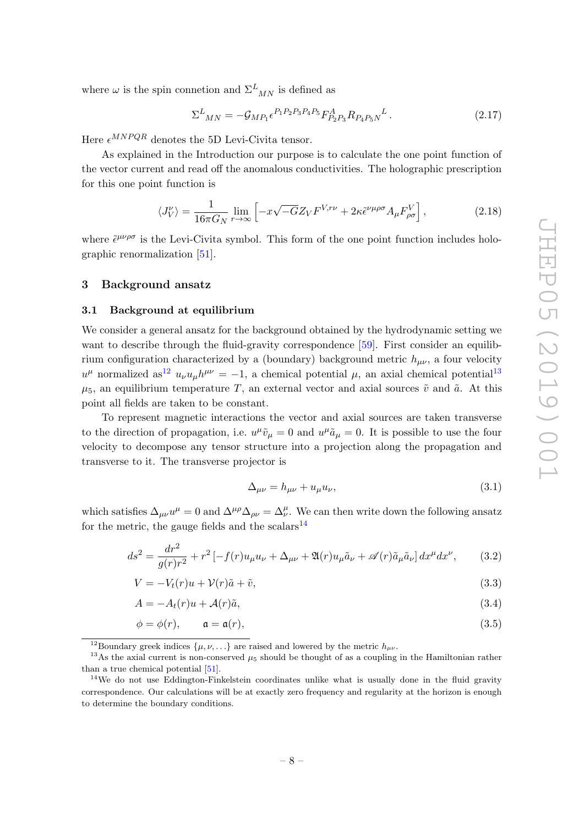where  $\omega$  is the spin connetion and  $\Sigma^L{}_{MN}$  is defined as

$$
\Sigma^{L}{}_{MN} = -\mathcal{G}_{MP_1} \epsilon^{P_1 P_2 P_3 P_4 P_5} F^{A}_{P_2 P_3} R_{P_4 P_5 N}{}^{L} \,. \tag{2.17}
$$

Here  $\epsilon^{MNPQR}$  denotes the 5D Levi-Civita tensor.

As explained in the Introduction our purpose is to calculate the one point function of the vector current and read off the anomalous conductivities. The holographic prescription for this one point function is

<span id="page-8-7"></span>
$$
\langle J_V^{\nu} \rangle = \frac{1}{16\pi G_N} \lim_{r \to \infty} \left[ -x\sqrt{-G} Z_V F^{V,r\nu} + 2\kappa \tilde{\epsilon}^{\nu\mu\rho\sigma} A_{\mu} F_{\rho\sigma}^V \right],
$$
(2.18)

where  $\tilde{\epsilon}^{\mu\nu\rho\sigma}$  is the Levi-Civita symbol. This form of the one point function includes holographic renormalization [\[51\]](#page-28-3).

#### <span id="page-8-0"></span>3 Background ansatz

#### <span id="page-8-1"></span>3.1 Background at equilibrium

We consider a general ansatz for the background obtained by the hydrodynamic setting we want to describe through the fluid-gravity correspondence [\[59\]](#page-28-10). First consider an equilibrium configuration characterized by a (boundary) background metric  $h_{\mu\nu}$ , a four velocity  $u^{\mu}$  normalized as<sup>[12](#page-8-2)</sup>  $u_{\nu}u_{\mu}h^{\mu\nu} = -1$ , a chemical potential  $\mu$ , an axial chemical potential<sup>[13](#page-8-3)</sup>  $\mu_5$ , an equilibrium temperature T, an external vector and axial sources  $\tilde{v}$  and  $\tilde{a}$ . At this point all fields are taken to be constant.

To represent magnetic interactions the vector and axial sources are taken transverse to the direction of propagation, i.e.  $u^{\mu} \tilde{v}_{\mu} = 0$  and  $u^{\mu} \tilde{a}_{\mu} = 0$ . It is possible to use the four velocity to decompose any tensor structure into a projection along the propagation and transverse to it. The transverse projector is

<span id="page-8-6"></span><span id="page-8-5"></span>
$$
\Delta_{\mu\nu} = h_{\mu\nu} + u_{\mu}u_{\nu},\tag{3.1}
$$

which satisfies  $\Delta_{\mu\nu}u^{\mu} = 0$  and  $\Delta^{\mu\rho}\Delta_{\rho\nu} = \Delta^{\mu}_{\nu}$ . We can then write down the following ansatz for the metric, the gauge fields and the scalars<sup>[14](#page-8-4)</sup>

$$
ds^{2} = \frac{dr^{2}}{g(r)r^{2}} + r^{2} \left[ -f(r)u_{\mu}u_{\nu} + \Delta_{\mu\nu} + \mathfrak{A}(r)u_{\mu}\tilde{a}_{\nu} + \mathscr{A}(r)\tilde{a}_{\mu}\tilde{a}_{\nu} \right] dx^{\mu}dx^{\nu}, \qquad (3.2)
$$

$$
V = -V_t(r)u + \mathcal{V}(r)\tilde{a} + \tilde{v},\tag{3.3}
$$

$$
A = -A_t(r)u + \mathcal{A}(r)\tilde{a},\tag{3.4}
$$

$$
\phi = \phi(r), \qquad \mathfrak{a} = \mathfrak{a}(r), \tag{3.5}
$$

<span id="page-8-3"></span><span id="page-8-2"></span><sup>12</sup>Boundary greek indices  $\{\mu, \nu, ...\}$  are raised and lowered by the metric  $h_{\mu\nu}$ .

<sup>&</sup>lt;sup>13</sup>As the axial current is non-conserved  $\mu_5$  should be thought of as a coupling in the Hamiltonian rather than a true chemical potential [\[51\]](#page-28-3).

<span id="page-8-4"></span> $14$ We do not use Eddington-Finkelstein coordinates unlike what is usually done in the fluid gravity correspondence. Our calculations will be at exactly zero frequency and regularity at the horizon is enough to determine the boundary conditions.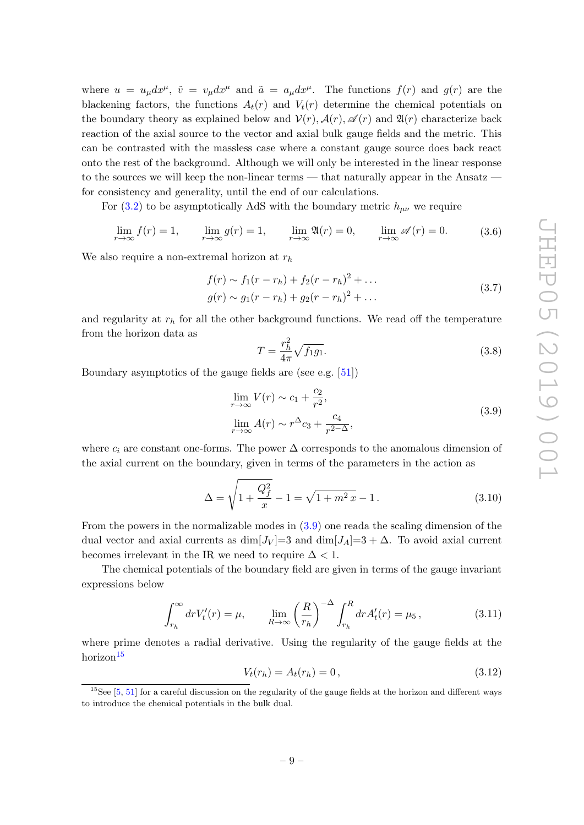where  $u = u_{\mu} dx^{\mu}$ ,  $\tilde{v} = v_{\mu} dx^{\mu}$  and  $\tilde{a} = a_{\mu} dx^{\mu}$ . The functions  $f(r)$  and  $g(r)$  are the blackening factors, the functions  $A_t(r)$  and  $V_t(r)$  determine the chemical potentials on the boundary theory as explained below and  $\mathcal{V}(r)$ ,  $\mathcal{A}(r)$ ,  $\mathcal{A}(r)$  and  $\mathfrak{A}(r)$  characterize back reaction of the axial source to the vector and axial bulk gauge fields and the metric. This can be contrasted with the massless case where a constant gauge source does back react onto the rest of the background. Although we will only be interested in the linear response to the sources we will keep the non-linear terms — that naturally appear in the Ansatz for consistency and generality, until the end of our calculations.

<span id="page-9-4"></span>For [\(3.2\)](#page-8-5) to be asymptotically AdS with the boundary metric  $h_{\mu\nu}$  we require

$$
\lim_{r \to \infty} f(r) = 1, \qquad \lim_{r \to \infty} g(r) = 1, \qquad \lim_{r \to \infty} \mathfrak{A}(r) = 0, \qquad \lim_{r \to \infty} \mathscr{A}(r) = 0. \tag{3.6}
$$

We also require a non-extremal horizon at  $r_h$ 

$$
f(r) \sim f_1(r - r_h) + f_2(r - r_h)^2 + \dots
$$
  
 
$$
g(r) \sim g_1(r - r_h) + g_2(r - r_h)^2 + \dots
$$
 (3.7)

and regularity at  $r_h$  for all the other background functions. We read off the temperature from the horizon data as

<span id="page-9-0"></span>
$$
T = \frac{r_h^2}{4\pi} \sqrt{f_1 g_1}.
$$
\n(3.8)

Boundary asymptotics of the gauge fields are (see e.g. [\[51\]](#page-28-3))

$$
\lim_{r \to \infty} V(r) \sim c_1 + \frac{c_2}{r^2},
$$
\n
$$
\lim_{r \to \infty} A(r) \sim r^{\Delta} c_3 + \frac{c_4}{r^{2-\Delta}},
$$
\n(3.9)

where  $c_i$  are constant one-forms. The power  $\Delta$  corresponds to the anomalous dimension of the axial current on the boundary, given in terms of the parameters in the action as

<span id="page-9-3"></span>
$$
\Delta = \sqrt{1 + \frac{Q_f^2}{x}} - 1 = \sqrt{1 + m^2 x} - 1.
$$
\n(3.10)

From the powers in the normalizable modes in [\(3.9\)](#page-9-0) one reada the scaling dimension of the dual vector and axial currents as  $\dim[J_V]=3$  and  $\dim[J_A]=3+\Delta$ . To avoid axial current becomes irrelevant in the IR we need to require  $\Delta < 1$ .

The chemical potentials of the boundary field are given in terms of the gauge invariant expressions below

<span id="page-9-2"></span>
$$
\int_{r_h}^{\infty} dr V'_t(r) = \mu, \qquad \lim_{R \to \infty} \left(\frac{R}{r_h}\right)^{-\Delta} \int_{r_h}^R dr A'_t(r) = \mu_5,
$$
\n(3.11)

where prime denotes a radial derivative. Using the regularity of the gauge fields at the  $horizon<sup>15</sup>$  $horizon<sup>15</sup>$  $horizon<sup>15</sup>$ 

$$
V_t(r_h) = A_t(r_h) = 0, \t\t(3.12)
$$

<span id="page-9-1"></span> $15$ See [\[5,](#page-25-3) [51\]](#page-28-3) for a careful discussion on the regularity of the gauge fields at the horizon and different ways to introduce the chemical potentials in the bulk dual.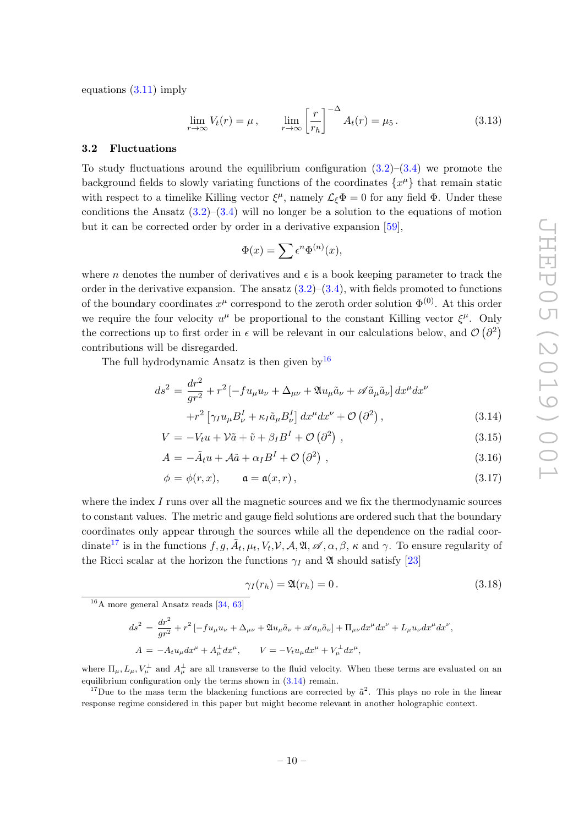equations [\(3.11\)](#page-9-2) imply

$$
\lim_{r \to \infty} V_t(r) = \mu, \qquad \lim_{r \to \infty} \left[ \frac{r}{r_h} \right]^{-\Delta} A_t(r) = \mu_5. \tag{3.13}
$$

#### <span id="page-10-0"></span>3.2 Fluctuations

To study fluctuations around the equilibrium configuration  $(3.2)$ – $(3.4)$  we promote the background fields to slowly variating functions of the coordinates  $\{x^{\mu}\}\$  that remain static with respect to a timelike Killing vector  $\xi^{\mu}$ , namely  $\mathcal{L}_{\xi}\Phi = 0$  for any field  $\Phi$ . Under these conditions the Ansatz  $(3.2)$ – $(3.4)$  will no longer be a solution to the equations of motion but it can be corrected order by order in a derivative expansion [\[59\]](#page-28-10),

$$
\Phi(x) = \sum \epsilon^n \Phi^{(n)}(x),
$$

where n denotes the number of derivatives and  $\epsilon$  is a book keeping parameter to track the order in the derivative expansion. The ansatz  $(3.2)$ – $(3.4)$ , with fields promoted to functions of the boundary coordinates  $x^{\mu}$  correspond to the zeroth order solution  $\Phi^{(0)}$ . At this order we require the four velocity  $u^{\mu}$  be proportional to the constant Killing vector  $\xi^{\mu}$ . Only the corrections up to first order in  $\epsilon$  will be relevant in our calculations below, and  $\mathcal{O}(\partial^2)$ contributions will be disregarded.

The full hydrodynamic Ansatz is then given by  $16$ 

<span id="page-10-3"></span>
$$
ds^{2} = \frac{dr^{2}}{gr^{2}} + r^{2} \left[ -fu_{\mu}u_{\nu} + \Delta_{\mu\nu} + \mathfrak{A}u_{\mu}\tilde{a}_{\nu} + \mathscr{A}\tilde{a}_{\mu}\tilde{a}_{\nu} \right] dx^{\mu} dx^{\nu}
$$

$$
+ r^{2} \left[ \gamma_{I}u_{\mu}B_{\nu}^{I} + \kappa_{I}\tilde{a}_{\mu}B_{\nu}^{I} \right] dx^{\mu} dx^{\nu} + \mathcal{O}\left(\partial^{2}\right), \tag{3.14}
$$

$$
V = -V_t u + V\tilde{a} + \tilde{v} + \beta_I B^I + \mathcal{O}(\partial^2) , \qquad (3.15)
$$

$$
A = -\tilde{A}_t u + \mathcal{A}\tilde{a} + \alpha_I B^I + \mathcal{O}\left(\partial^2\right) , \qquad (3.16)
$$

$$
\phi = \phi(r, x), \qquad \mathfrak{a} = \mathfrak{a}(x, r), \tag{3.17}
$$

where the index  $I$  runs over all the magnetic sources and we fix the thermodynamic sources to constant values. The metric and gauge field solutions are ordered such that the boundary coordinates only appear through the sources while all the dependence on the radial coor-dinate<sup>[17](#page-10-2)</sup> is in the functions  $f, g, \tilde{A}_t, \mu_t, V_t, V, A, \mathfrak{A}, \mathfrak{A}, \alpha, \beta, \kappa$  and  $\gamma$ . To ensure regularity of the Ricci scalar at the horizon the functions  $\gamma_I$  and  $\mathfrak A$  should satisfy [\[23\]](#page-26-8)

$$
\gamma_I(r_h) = \mathfrak{A}(r_h) = 0. \tag{3.18}
$$

<span id="page-10-1"></span><sup>16</sup>A more general Ansatz reads [\[34,](#page-27-5) [63\]](#page-28-14)

$$
ds^{2} = \frac{dr^{2}}{gr^{2}} + r^{2} \left[ -fu_{\mu}u_{\nu} + \Delta_{\mu\nu} + \mathfrak{A}u_{\mu}\tilde{a}_{\nu} + \mathscr{A}a_{\mu}\tilde{a}_{\nu} \right] + \Pi_{\mu\nu}dx^{\mu}dx^{\nu} + L_{\mu}u_{\nu}dx^{\mu}dx^{\nu},
$$
  
\n
$$
A = -A_{t}u_{\mu}dx^{\mu} + A_{\mu}^{\perp}dx^{\mu}, \qquad V = -V_{t}u_{\mu}dx^{\mu} + V_{\mu}^{\perp}dx^{\mu},
$$

where  $\Pi_{\mu}, L_{\mu}, V^{\perp}_{\mu}$  and  $A^{\perp}_{\mu}$  are all transverse to the fluid velocity. When these terms are evaluated on an equilibrium configuration only the terms shown in [\(3.14\)](#page-10-3) remain.

<span id="page-10-2"></span><sup>17</sup>Due to the mass term the blackening functions are corrected by  $\tilde{a}^2$ . This plays no role in the linear response regime considered in this paper but might become relevant in another holographic context.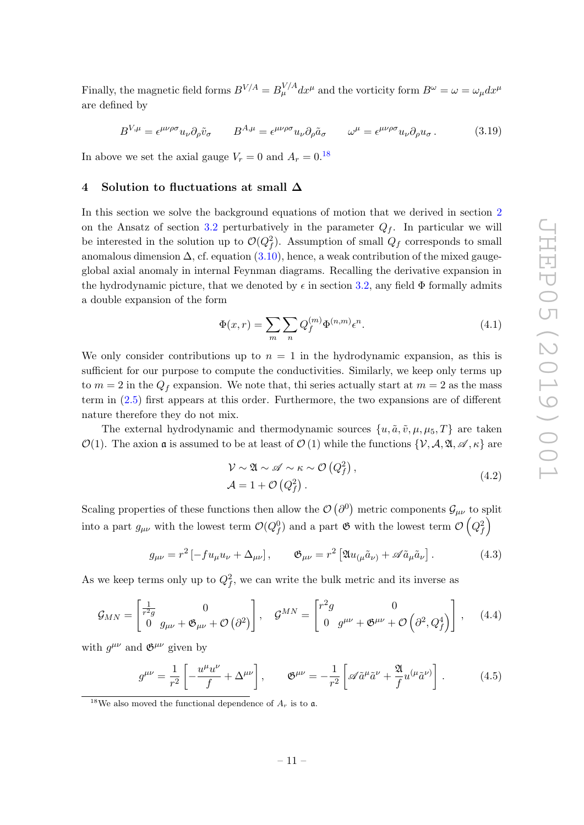Finally, the magnetic field forms  $B^{V/A} = B^{V/A}_\mu dx^\mu$  and the vorticity form  $B^\omega = \omega = \omega_\mu dx^\mu$ are defined by

$$
B^{V,\mu} = \epsilon^{\mu\nu\rho\sigma} u_{\nu} \partial_{\rho} \tilde{v}_{\sigma} \qquad B^{A,\mu} = \epsilon^{\mu\nu\rho\sigma} u_{\nu} \partial_{\rho} \tilde{a}_{\sigma} \qquad \omega^{\mu} = \epsilon^{\mu\nu\rho\sigma} u_{\nu} \partial_{\rho} u_{\sigma} \,. \tag{3.19}
$$

In above we set the axial gauge  $V_r = 0$  and  $A_r = 0.18$  $A_r = 0.18$ 

## <span id="page-11-0"></span>4 Solution to fluctuations at small ∆

In this section we solve the background equations of motion that we derived in section [2](#page-5-0) on the Ansatz of section [3.2](#page-10-0) perturbatively in the parameter  $Q_f$ . In particular we will be interested in the solution up to  $\mathcal{O}(Q_f^2)$ . Assumption of small  $Q_f$  corresponds to small anomalous dimension  $\Delta$ , cf. equation [\(3.10\)](#page-9-3), hence, a weak contribution of the mixed gaugeglobal axial anomaly in internal Feynman diagrams. Recalling the derivative expansion in the hydrodynamic picture, that we denoted by  $\epsilon$  in section [3.2,](#page-10-0) any field  $\Phi$  formally admits a double expansion of the form

$$
\Phi(x,r) = \sum_{m} \sum_{n} Q_f^{(m)} \Phi^{(n,m)} \epsilon^n.
$$
\n(4.1)

We only consider contributions up to  $n = 1$  in the hydrodynamic expansion, as this is sufficient for our purpose to compute the conductivities. Similarly, we keep only terms up to  $m = 2$  in the  $Q_f$  expansion. We note that, thi series actually start at  $m = 2$  as the mass term in [\(2.5\)](#page-6-5) first appears at this order. Furthermore, the two expansions are of different nature therefore they do not mix.

The external hydrodynamic and thermodynamic sources  $\{u, \tilde{a}, \tilde{v}, \mu, \mu_5, T\}$  are taken  $\mathcal{O}(1)$ . The axion **a** is assumed to be at least of  $\mathcal{O}(1)$  while the functions  $\{\mathcal{V}, \mathcal{A}, \mathfrak{A}, \mathfrak{A}, \kappa\}$  are

$$
\mathcal{V} \sim \mathfrak{A} \sim \mathscr{A} \sim \kappa \sim \mathcal{O}\left(Q_f^2\right), \mathcal{A} = 1 + \mathcal{O}\left(Q_f^2\right).
$$
\n(4.2)

Scaling properties of these functions then allow the  $\mathcal{O}(\partial^0)$  metric components  $\mathcal{G}_{\mu\nu}$  to split into a part  $g_{\mu\nu}$  with the lowest term  $\mathcal{O}(Q_f^0)$  and a part  $\mathfrak G$  with the lowest term  $\mathcal{O}(Q_f^2)$ 

$$
g_{\mu\nu} = r^2 \left[ -f u_{\mu} u_{\nu} + \Delta_{\mu\nu} \right], \qquad \mathfrak{G}_{\mu\nu} = r^2 \left[ \mathfrak{A} u_{(\mu} \tilde{a}_{\nu)} + \mathscr{A} \tilde{a}_{\mu} \tilde{a}_{\nu} \right]. \tag{4.3}
$$

As we keep terms only up to  $Q_f^2$ , we can write the bulk metric and its inverse as

$$
\mathcal{G}_{MN} = \begin{bmatrix} \frac{1}{r^2 g} & 0\\ 0 & g_{\mu\nu} + \mathfrak{G}_{\mu\nu} + \mathcal{O}\left(\partial^2\right) \end{bmatrix}, \quad \mathcal{G}^{MN} = \begin{bmatrix} r^2 g & 0\\ 0 & g^{\mu\nu} + \mathfrak{G}^{\mu\nu} + \mathcal{O}\left(\partial^2, Q_f^4\right) \end{bmatrix}, \quad (4.4)
$$

with  $g^{\mu\nu}$  and  $\mathfrak{G}^{\mu\nu}$  given by

$$
g^{\mu\nu} = \frac{1}{r^2} \left[ -\frac{u^{\mu} u^{\nu}}{f} + \Delta^{\mu\nu} \right], \qquad \mathfrak{G}^{\mu\nu} = -\frac{1}{r^2} \left[ \mathscr{A} \tilde{a}^{\mu} \tilde{a}^{\nu} + \frac{\mathfrak{A}}{f} u^{(\mu} \tilde{a}^{\nu)} \right]. \tag{4.5}
$$

<span id="page-11-1"></span><sup>&</sup>lt;sup>18</sup>We also moved the functional dependence of  $A_r$  is to **a**.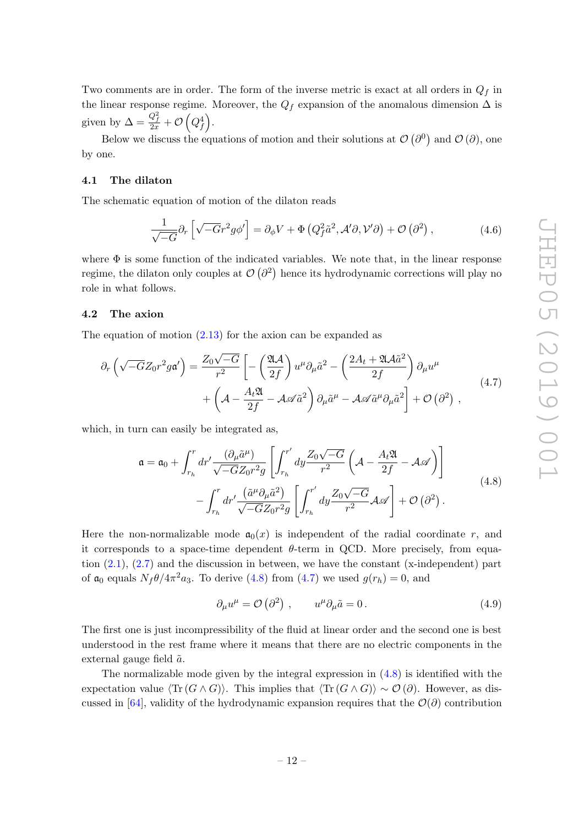Two comments are in order. The form of the inverse metric is exact at all orders in  $Q_f$  in the linear response regime. Moreover, the  $Q_f$  expansion of the anomalous dimension  $\Delta$  is given by  $\Delta = \frac{Q_f^2}{2x} + \mathcal{O}\left(Q_f^4\right)$ .

Below we discuss the equations of motion and their solutions at  $\mathcal{O}(\partial^0)$  and  $\mathcal{O}(\partial)$ , one by one.

#### <span id="page-12-0"></span>4.1 The dilaton

The schematic equation of motion of the dilaton reads

$$
\frac{1}{\sqrt{-G}}\partial_r\left[\sqrt{-G}r^2g\phi'\right] = \partial_\phi V + \Phi\left(Q_f^2\tilde{a}^2, \mathcal{A}'\partial, \mathcal{V}'\partial\right) + \mathcal{O}\left(\partial^2\right),\tag{4.6}
$$

where  $\Phi$  is some function of the indicated variables. We note that, in the linear response regime, the dilaton only couples at  $\mathcal{O}(\partial^2)$  hence its hydrodynamic corrections will play no role in what follows.

#### <span id="page-12-1"></span>4.2 The axion

The equation of motion [\(2.13\)](#page-7-1) for the axion can be expanded as

$$
\partial_r \left( \sqrt{-G} Z_0 r^2 g \mathfrak{a}' \right) = \frac{Z_0 \sqrt{-G}}{r^2} \left[ -\left( \frac{\mathfrak{A} \mathcal{A}}{2f} \right) u^\mu \partial_\mu \tilde{a}^2 - \left( \frac{2A_t + \mathfrak{A} \mathcal{A} \tilde{a}^2}{2f} \right) \partial_\mu u^\mu \right. \\
\left. + \left( \mathcal{A} - \frac{A_t \mathfrak{A}}{2f} - \mathcal{A} \mathscr{A} \tilde{a}^2 \right) \partial_\mu \tilde{a}^\mu - \mathcal{A} \mathscr{A} \tilde{a}^\mu \partial_\mu \tilde{a}^2 \right] + \mathcal{O} \left( \partial^2 \right) \,,
$$
\n(4.7)

which, in turn can easily be integrated as.

$$
\mathfrak{a} = \mathfrak{a}_0 + \int_{r_h}^r dr' \frac{(\partial_\mu \tilde{a}^\mu)}{\sqrt{-G}Z_0 r^2 g} \left[ \int_{r_h}^{r'} dy \frac{Z_0 \sqrt{-G}}{r^2} \left( \mathcal{A} - \frac{A_t \mathfrak{A}}{2f} - \mathcal{A} \mathcal{A} \right) \right] - \int_{r_h}^r dr' \frac{(\tilde{a}^\mu \partial_\mu \tilde{a}^2)}{\sqrt{-G}Z_0 r^2 g} \left[ \int_{r_h}^{r'} dy \frac{Z_0 \sqrt{-G}}{r^2} \mathcal{A} \mathcal{A} \right] + \mathcal{O} \left( \partial^2 \right).
$$
\n(4.8)

Here the non-normalizable mode  $a_0(x)$  is independent of the radial coordinate r, and it corresponds to a space-time dependent  $\theta$ -term in QCD. More precisely, from equation  $(2.1)$ ,  $(2.7)$  and the discussion in between, we have the constant (x-independent) part of  $a_0$  equals  $N_f \theta / 4\pi^2 a_3$ . To derive [\(4.8\)](#page-12-2) from [\(4.7\)](#page-12-3) we used  $g(r_h) = 0$ , and

<span id="page-12-3"></span><span id="page-12-2"></span>
$$
\partial_{\mu}u^{\mu} = \mathcal{O}\left(\partial^{2}\right), \qquad u^{\mu}\partial_{\mu}\tilde{a} = 0. \qquad (4.9)
$$

The first one is just incompressibility of the fluid at linear order and the second one is best understood in the rest frame where it means that there are no electric components in the external gauge field  $\tilde{a}$ .

The normalizable mode given by the integral expression in  $(4.8)$  is identified with the expectation value  $\langle \text{Tr} (G \wedge G) \rangle$ . This implies that  $\langle \text{Tr} (G \wedge G) \rangle \sim \mathcal{O}(\partial)$ . However, as dis-cussed in [\[64\]](#page-28-15), validity of the hydrodynamic expansion requires that the  $\mathcal{O}(\partial)$  contribution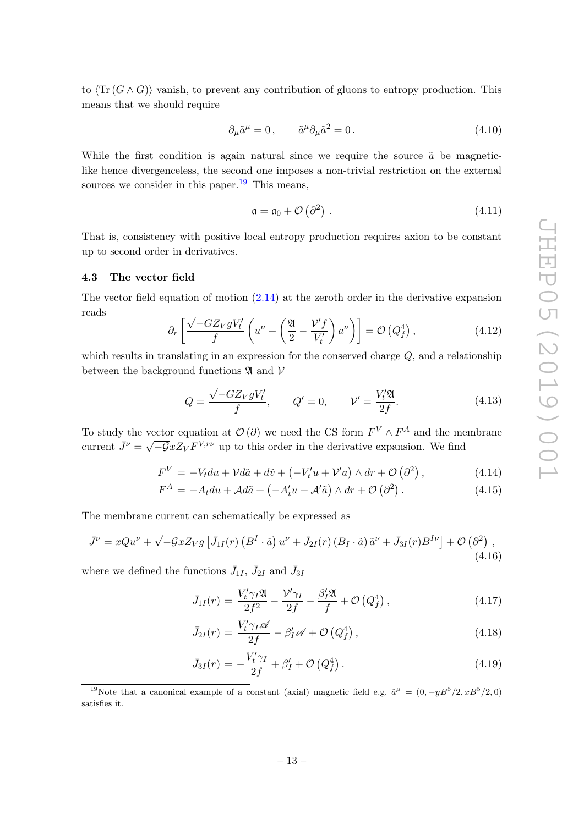to  $\langle \text{Tr} (G \wedge G) \rangle$  vanish, to prevent any contribution of gluons to entropy production. This means that we should require

$$
\partial_{\mu}\tilde{a}^{\mu} = 0, \qquad \tilde{a}^{\mu}\partial_{\mu}\tilde{a}^{2} = 0.
$$
 (4.10)

While the first condition is again natural since we require the source  $\tilde{a}$  be magneticlike hence divergenceless, the second one imposes a non-trivial restriction on the external sources we consider in this paper.<sup>[19](#page-13-1)</sup> This means,

$$
\mathfrak{a} = \mathfrak{a}_0 + \mathcal{O}(\partial^2) \tag{4.11}
$$

That is, consistency with positive local entropy production requires axion to be constant up to second order in derivatives.

#### <span id="page-13-0"></span>4.3 The vector field

The vector field equation of motion [\(2.14\)](#page-7-2) at the zeroth order in the derivative expansion reads

$$
\partial_r \left[ \frac{\sqrt{-G} Z_V g V_t'}{f} \left( u^\nu + \left( \frac{\mathfrak{A}}{2} - \frac{\mathfrak{V}' f}{V_t'} \right) a^\nu \right) \right] = \mathcal{O} \left( Q_f^4 \right), \tag{4.12}
$$

which results in translating in an expression for the conserved charge  $Q$ , and a relationship between the background functions  $\mathfrak A$  and  $\mathcal V$ 

$$
Q = \frac{\sqrt{-G}Z_V gV'_t}{f}, \qquad Q' = 0, \qquad \mathcal{V}' = \frac{V'_t \mathfrak{A}}{2f}.
$$
 (4.13)

<span id="page-13-4"></span>To study the vector equation at  $\mathcal{O}(\partial)$  we need the CS form  $F^V \wedge F^A$  and the membrane current  $\bar{J}^{\nu} = \sqrt{3}$  $-\overline{G}xZ_VF^{V,r\nu}$  up to this order in the derivative expansion. We find

<span id="page-13-2"></span>
$$
F^{V} = -V_t du + V d\tilde{a} + d\tilde{v} + \left(-V_t' u + V' a\right) \wedge dr + \mathcal{O}\left(\partial^2\right),\tag{4.14}
$$

$$
F^{A} = -A_{t}du + \mathcal{A}d\tilde{a} + \left(-A_{t}'u + \mathcal{A}'\tilde{a}\right) \wedge dr + \mathcal{O}\left(\partial^{2}\right). \tag{4.15}
$$

The membrane current can schematically be expressed as

<span id="page-13-3"></span>
$$
\bar{J}^{\nu} = xQu^{\nu} + \sqrt{-\mathcal{G}}xZ_{V}g\left[\bar{J}_{1I}(r)\left(B^{I}\cdot\tilde{a}\right)u^{\nu} + \bar{J}_{2I}(r)\left(B_{I}\cdot\tilde{a}\right)\tilde{a}^{\nu} + \bar{J}_{3I}(r)B^{I\nu}\right] + \mathcal{O}\left(\partial^{2}\right),\tag{4.16}
$$

where we defined the functions  $\bar{J}_{1I}$ ,  $\bar{J}_{2I}$  and  $\bar{J}_{3I}$ 

$$
\bar{J}_{1I}(r) = \frac{V'_t \gamma_I \mathfrak{A}}{2f^2} - \frac{\mathcal{V}' \gamma_I}{2f} - \frac{\beta'_I \mathfrak{A}}{f} + \mathcal{O}\left(Q_f^4\right),\tag{4.17}
$$

$$
\bar{J}_{2I}(r) = \frac{V'_t \gamma_I \mathscr{A}}{2f} - \beta'_I \mathscr{A} + \mathcal{O}\left(Q_f^4\right),\tag{4.18}
$$

$$
\bar{J}_{3I}(r) = -\frac{V_t'\gamma_I}{2f} + \beta_I' + \mathcal{O}\left(Q_f^4\right). \tag{4.19}
$$

<span id="page-13-1"></span><sup>&</sup>lt;sup>19</sup>Note that a canonical example of a constant (axial) magnetic field e.g.  $\tilde{a}^{\mu} = (0, -yB^5/2, xB^5/2, 0)$ satisfies it.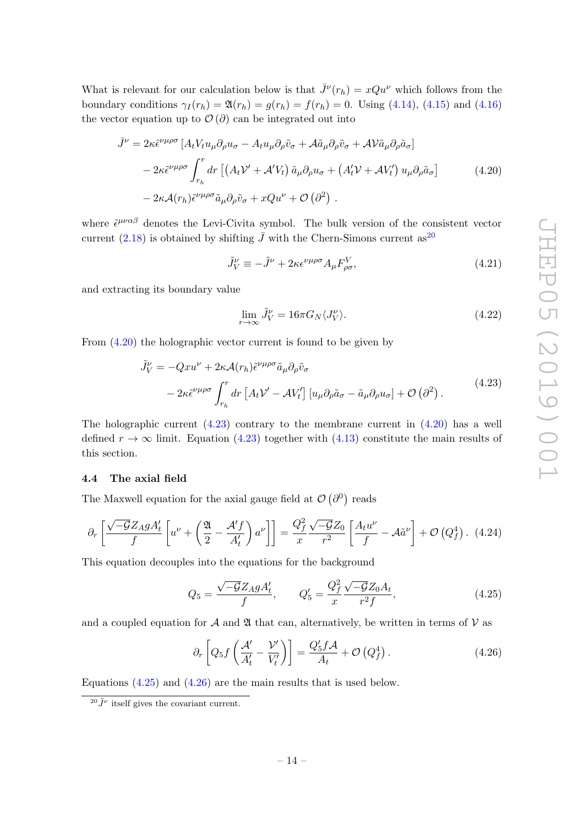What is relevant for our calculation below is that  $\bar{J}^{\nu}(r_h) = xQu^{\nu}$  which follows from the boundary conditions  $\gamma_I(r_h) = \mathfrak{A}(r_h) = g(r_h) = f(r_h) = 0$ . Using [\(4.14\)](#page-13-2), [\(4.15\)](#page-13-2) and [\(4.16\)](#page-13-3) the vector equation up to  $\mathcal{O}(\partial)$  can be integrated out into

$$
\bar{J}^{\nu} = 2\kappa \tilde{\epsilon}^{\nu\mu\rho\sigma} \left[ A_t V_t u_{\mu} \partial_{\rho} u_{\sigma} - A_t u_{\mu} \partial_{\rho} \tilde{v}_{\sigma} + A \tilde{a}_{\mu} \partial_{\rho} \tilde{v}_{\sigma} + A V \tilde{a}_{\mu} \partial_{\rho} \tilde{a}_{\sigma} \right]
$$
  
\n
$$
- 2\kappa \tilde{\epsilon}^{\nu\mu\rho\sigma} \int_{r_h}^r dr \left[ \left( A_t V' + A' V_t \right) \tilde{a}_{\mu} \partial_{\rho} u_{\sigma} + \left( A_t' V + A V_t' \right) u_{\mu} \partial_{\rho} \tilde{a}_{\sigma} \right]
$$
  
\n
$$
- 2\kappa A(r_h) \tilde{\epsilon}^{\nu\mu\rho\sigma} \tilde{a}_{\mu} \partial_{\rho} \tilde{v}_{\sigma} + x Q u^{\nu} + \mathcal{O} \left( \partial^2 \right) . \tag{4.20}
$$

where  $\tilde{\epsilon}^{\mu\nu\alpha\beta}$  denotes the Levi-Civita symbol. The bulk version of the consistent vector current [\(2.18\)](#page-8-7) is obtained by shifting  $\bar{J}$  with the Chern-Simons current as<sup>[20](#page-14-1)</sup>

<span id="page-14-2"></span>
$$
\tilde{J}_V^{\nu} \equiv -\tilde{J}^{\nu} + 2\kappa \epsilon^{\nu\mu\rho\sigma} A_{\mu} F_{\rho\sigma}^V,\tag{4.21}
$$

and extracting its boundary value

<span id="page-14-6"></span><span id="page-14-3"></span>
$$
\lim_{r \to \infty} \tilde{J}_V^{\nu} = 16\pi G_N \langle J_V^{\nu} \rangle.
$$
\n(4.22)

From [\(4.20\)](#page-14-2) the holographic vector current is found to be given by

$$
\tilde{J}_V^{\nu} = -Qx u^{\nu} + 2\kappa \mathcal{A}(r_h) \tilde{\epsilon}^{\nu\mu\rho\sigma} \tilde{a}_{\mu} \partial_{\rho} \tilde{v}_{\sigma} \n- 2\kappa \tilde{\epsilon}^{\nu\mu\rho\sigma} \int_{r_h}^r dr \left[ A_t \mathcal{V}' - A V_t' \right] \left[ u_{\mu} \partial_{\rho} \tilde{a}_{\sigma} - \tilde{a}_{\mu} \partial_{\rho} u_{\sigma} \right] + \mathcal{O} \left( \partial^2 \right).
$$
\n(4.23)

The holographic current [\(4.23\)](#page-14-3) contrary to the membrane current in [\(4.20\)](#page-14-2) has a well defined  $r \to \infty$  limit. Equation [\(4.23\)](#page-14-3) together with [\(4.13\)](#page-13-4) constitute the main results of this section.

## <span id="page-14-0"></span>4.4 The axial field

The Maxwell equation for the axial gauge field at  $\mathcal{O}(\partial^0)$  reads

$$
\partial_r \left[ \frac{\sqrt{-\mathcal{G}} Z_A g A'_t}{f} \left[ u^\nu + \left( \frac{\mathfrak{A}}{2} - \frac{\mathcal{A}' f}{A'_t} \right) a^\nu \right] \right] = \frac{Q_f^2}{x} \frac{\sqrt{-\mathcal{G}} Z_0}{r^2} \left[ \frac{A_t u^\nu}{f} - \mathcal{A} \tilde{a}^\nu \right] + \mathcal{O} \left( Q_f^4 \right). \tag{4.24}
$$

This equation decouples into the equations for the background

<span id="page-14-4"></span>
$$
Q_5 = \frac{\sqrt{-\mathcal{G}}Z_A g A'_t}{f}, \qquad Q'_5 = \frac{Q_f^2}{x} \frac{\sqrt{-\mathcal{G}}Z_0 A_t}{r^2 f}, \tag{4.25}
$$

and a coupled equation for  $\mathcal A$  and  $\mathfrak A$  that can, alternatively, be written in terms of  $\mathcal V$  as

<span id="page-14-5"></span>
$$
\partial_r \left[ Q_5 f \left( \frac{\mathcal{A}'}{A'_t} - \frac{\mathcal{V}'}{V'_t} \right) \right] = \frac{Q'_5 f \mathcal{A}}{A_t} + \mathcal{O} \left( Q_f^4 \right). \tag{4.26}
$$

Equations [\(4.25\)](#page-14-4) and [\(4.26\)](#page-14-5) are the main results that is used below.

<span id="page-14-1"></span> $^{20}\tilde{J}^{\nu}$  itself gives the covariant current.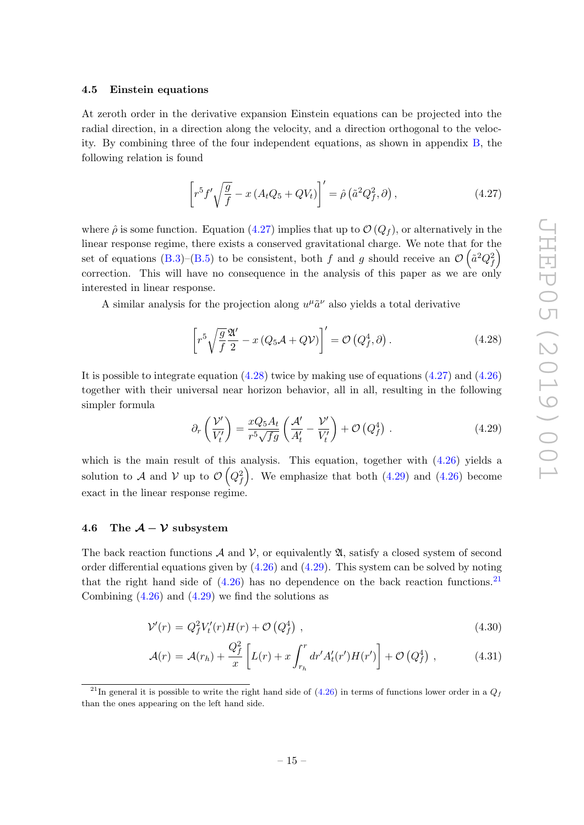#### <span id="page-15-0"></span>4.5 Einstein equations

At zeroth order in the derivative expansion Einstein equations can be projected into the radial direction, in a direction along the velocity, and a direction orthogonal to the velocity. By combining three of the four independent equations, as shown in appendix [B,](#page-24-0) the following relation is found

<span id="page-15-2"></span>
$$
\left[r^5f'\sqrt{\frac{g}{f}} - x\left(A_tQ_5 + QV_t\right)\right]' = \hat{\rho}\left(\tilde{a}^2Q_f^2, \partial\right),\tag{4.27}
$$

where  $\hat{\rho}$  is some function. Equation [\(4.27\)](#page-15-2) implies that up to  $\mathcal{O}(Q_f)$ , or alternatively in the linear response regime, there exists a conserved gravitational charge. We note that for the set of equations [\(B.3\)](#page-24-1)–[\(B.5\)](#page-25-7) to be consistent, both f and g should receive an  $\mathcal{O}\left(\tilde{a}^2Q_f^2\right)$ correction. This will have no consequence in the analysis of this paper as we are only interested in linear response.

<span id="page-15-3"></span>A similar analysis for the projection along  $u^{\mu} \tilde{a}^{\nu}$  also yields a total derivative

$$
\left[r^5\sqrt{\frac{g}{f}}\frac{\mathfrak{A}'}{2} - x\left(Q_5\mathcal{A} + Q\mathcal{V}\right)\right]' = \mathcal{O}\left(Q_f^4, \partial\right). \tag{4.28}
$$

It is possible to integrate equation [\(4.28\)](#page-15-3) twice by making use of equations [\(4.27\)](#page-15-2) and [\(4.26\)](#page-14-5) together with their universal near horizon behavior, all in all, resulting in the following simpler formula

<span id="page-15-4"></span>
$$
\partial_r \left( \frac{\mathcal{V}'}{V_t'} \right) = \frac{x Q_5 A_t}{r^5 \sqrt{fg}} \left( \frac{\mathcal{A}'}{A_t'} - \frac{\mathcal{V}'}{V_t'} \right) + \mathcal{O} \left( Q_f^4 \right) . \tag{4.29}
$$

which is the main result of this analysis. This equation, together with  $(4.26)$  yields a solution to A and V up to  $\mathcal{O}(Q_f^2)$ . We emphasize that both [\(4.29\)](#page-15-4) and [\(4.26\)](#page-14-5) become exact in the linear response regime.

#### <span id="page-15-1"></span>4.6 The  $A - V$  subsystem

The back reaction functions  $\mathcal A$  and  $\mathcal V$ , or equivalently  $\mathfrak A$ , satisfy a closed system of second order differential equations given by  $(4.26)$  and  $(4.29)$ . This system can be solved by noting that the right hand side of  $(4.26)$  has no dependence on the back reaction functions.<sup>[21](#page-15-5)</sup> Combining  $(4.26)$  and  $(4.29)$  we find the solutions as

<span id="page-15-6"></span>
$$
\mathcal{V}'(r) = Q_f^2 V_t'(r) H(r) + \mathcal{O}\left(Q_f^4\right) ,\qquad (4.30)
$$

$$
\mathcal{A}(r) = \mathcal{A}(r_h) + \frac{Q_f^2}{x} \left[ L(r) + x \int_{r_h}^r dr' A_t'(r') H(r') \right] + \mathcal{O}\left(Q_f^4\right) ,\qquad (4.31)
$$

<span id="page-15-5"></span><sup>&</sup>lt;sup>21</sup>In general it is possible to write the right hand side of  $(4.26)$  in terms of functions lower order in a  $Q_f$ than the ones appearing on the left hand side.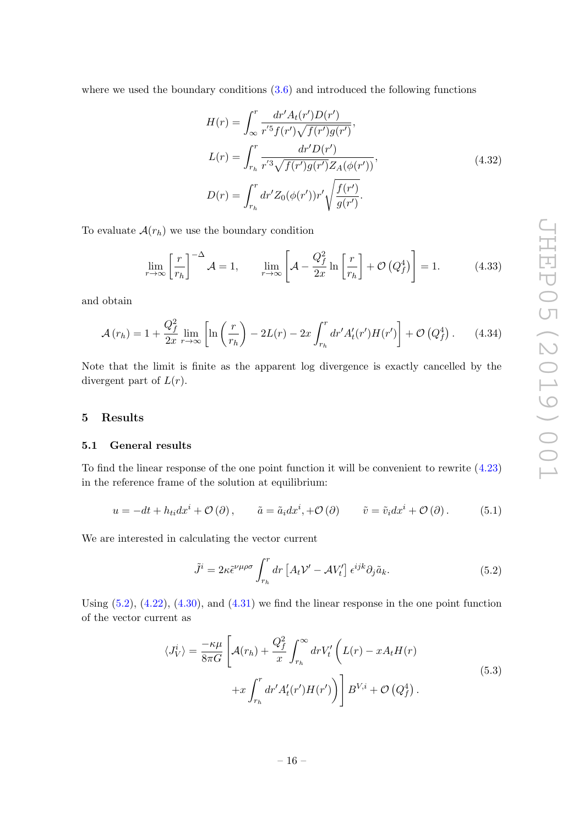where we used the boundary conditions  $(3.6)$  and introduced the following functions

$$
H(r) = \int_{\infty}^{r} \frac{dr' A_t(r') D(r')}{r'^5 f(r') \sqrt{f(r')g(r')}} ,
$$
  
\n
$$
L(r) = \int_{r_h}^{r} \frac{dr' D(r')}{r'^3 \sqrt{f(r')g(r')} Z_A(\phi(r'))},
$$
  
\n
$$
D(r) = \int_{r_h}^{r} dr' Z_0(\phi(r'))r' \sqrt{\frac{f(r')}{g(r')}}.
$$
\n(4.32)

To evaluate  $\mathcal{A}(r_h)$  we use the boundary condition

$$
\lim_{r \to \infty} \left[ \frac{r}{r_h} \right]^{-\Delta} \mathcal{A} = 1, \qquad \lim_{r \to \infty} \left[ \mathcal{A} - \frac{Q_f^2}{2x} \ln \left[ \frac{r}{r_h} \right] + \mathcal{O} \left( Q_f^4 \right) \right] = 1. \tag{4.33}
$$

and obtain

$$
\mathcal{A}(r_h) = 1 + \frac{Q_f^2}{2x} \lim_{r \to \infty} \left[ \ln \left( \frac{r}{r_h} \right) - 2L(r) - 2x \int_{r_h}^r dr' A_t'(r') H(r') \right] + \mathcal{O}\left(Q_f^4\right). \tag{4.34}
$$

Note that the limit is finite as the apparent log divergence is exactly cancelled by the divergent part of  $L(r)$ .

## <span id="page-16-0"></span>5 Results

#### <span id="page-16-1"></span>5.1 General results

To find the linear response of the one point function it will be convenient to rewrite [\(4.23\)](#page-14-3) in the reference frame of the solution at equilibrium:

$$
u = -dt + h_{ti}dx^{i} + \mathcal{O}(\partial), \qquad \tilde{a} = \tilde{a}_{i}dx^{i}, +\mathcal{O}(\partial) \qquad \tilde{v} = \tilde{v}_{i}dx^{i} + \mathcal{O}(\partial).
$$
 (5.1)

<span id="page-16-2"></span>We are interested in calculating the vector current

<span id="page-16-3"></span>
$$
\tilde{J}^{i} = 2\kappa \tilde{\epsilon}^{\nu\mu\rho\sigma} \int_{r_{h}}^{r} dr \left[ A_{t} \mathcal{V}^{\prime} - \mathcal{A} V_{t}^{\prime} \right] \epsilon^{ijk} \partial_{j} \tilde{a}_{k}.
$$
\n(5.2)

Using  $(5.2)$ ,  $(4.22)$ ,  $(4.30)$ , and  $(4.31)$  we find the linear response in the one point function of the vector current as

$$
\langle J_V^i \rangle = \frac{-\kappa \mu}{8\pi G} \left[ \mathcal{A}(r_h) + \frac{Q_f^2}{x} \int_{r_h}^{\infty} dr V_t' \left( L(r) - x A_t H(r) \right) \right. \left. + x \int_{r_h}^r dr' A_t'(r') H(r') \right) \left[ B^{V,i} + \mathcal{O} \left( Q_f^4 \right) . \right. \tag{5.3}
$$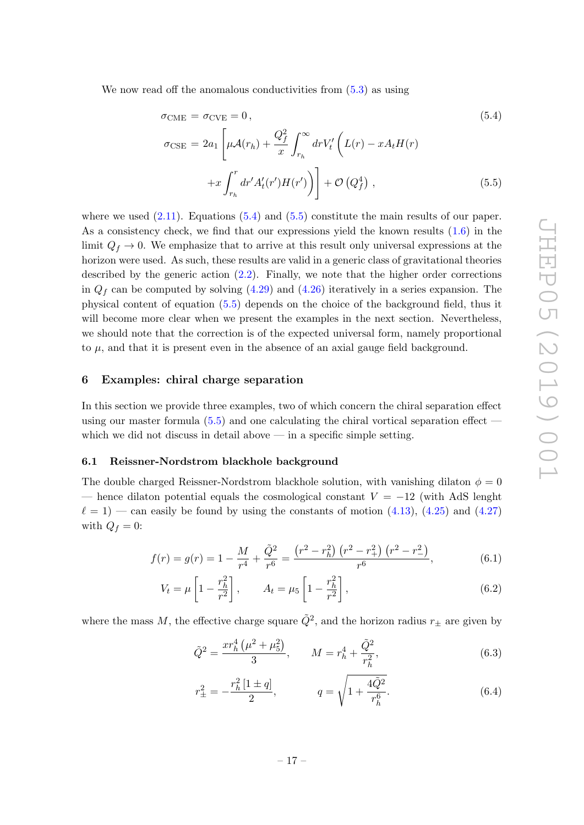We now read off the anomalous conductivities from  $(5.3)$  as using

<span id="page-17-2"></span>
$$
\sigma_{\text{CME}} = \sigma_{\text{CVE}} = 0, \qquad (5.4)
$$
\n
$$
\sigma_{\text{CSE}} = 2a_1 \left[ \mu \mathcal{A}(r_h) + \frac{Q_f^2}{x} \int_{r_h}^{\infty} dr V'_t \left( L(r) - x A_t H(r) \right) \right. \\
\left. + x \int_{r_h}^r dr' A'_t(r') H(r') \right) \Bigg] + \mathcal{O}\left(Q_f^4\right) \,, \qquad (5.5)
$$

where we used  $(2.11)$ . Equations  $(5.4)$  and  $(5.5)$  constitute the main results of our paper. As a consistency check, we find that our expressions yield the known results [\(1.6\)](#page-3-6) in the limit  $Q_f \rightarrow 0$ . We emphasize that to arrive at this result only universal expressions at the horizon were used. As such, these results are valid in a generic class of gravitational theories described by the generic action [\(2.2\)](#page-6-4). Finally, we note that the higher order corrections in  $Q_f$  can be computed by solving  $(4.29)$  and  $(4.26)$  iteratively in a series expansion. The physical content of equation [\(5.5\)](#page-17-2) depends on the choice of the background field, thus it will become more clear when we present the examples in the next section. Nevertheless, we should note that the correction is of the expected universal form, namely proportional to  $\mu$ , and that it is present even in the absence of an axial gauge field background.

## <span id="page-17-0"></span>6 Examples: chiral charge separation

In this section we provide three examples, two of which concern the chiral separation effect using our master formula [\(5.5\)](#page-17-2) and one calculating the chiral vortical separation effect which we did not discuss in detail above  $\frac{1}{2}$  in a specific simple setting.

#### <span id="page-17-1"></span>6.1 Reissner-Nordstrom blackhole background

The double charged Reissner-Nordstrom blackhole solution, with vanishing dilaton  $\phi = 0$ — hence dilaton potential equals the cosmological constant  $V = -12$  (with AdS lenght  $\ell = 1$  — can easily be found by using the constants of motion [\(4.13\)](#page-13-4), [\(4.25\)](#page-14-4) and [\(4.27\)](#page-15-2) with  $Q_f = 0$ :

$$
f(r) = g(r) = 1 - \frac{M}{r^4} + \frac{\tilde{Q}^2}{r^6} = \frac{\left(r^2 - r_h^2\right)\left(r^2 - r_+^2\right)\left(r^2 - r_-^2\right)}{r^6},\tag{6.1}
$$

$$
V_t = \mu \left[ 1 - \frac{r_h^2}{r^2} \right], \qquad A_t = \mu_5 \left[ 1 - \frac{r_h^2}{r^2} \right], \tag{6.2}
$$

where the mass M, the effective charge square  $\tilde{Q}^2$ , and the horizon radius  $r_{\pm}$  are given by

$$
\tilde{Q}^2 = \frac{x r_h^4 \left(\mu^2 + \mu_5^2\right)}{3}, \qquad M = r_h^4 + \frac{\tilde{Q}^2}{r_h^2},\tag{6.3}
$$

$$
r_{\pm}^{2} = -\frac{r_{h}^{2}[1 \pm q]}{2}, \qquad q = \sqrt{1 + \frac{4\tilde{Q}^{2}}{r_{h}^{6}}}.
$$
 (6.4)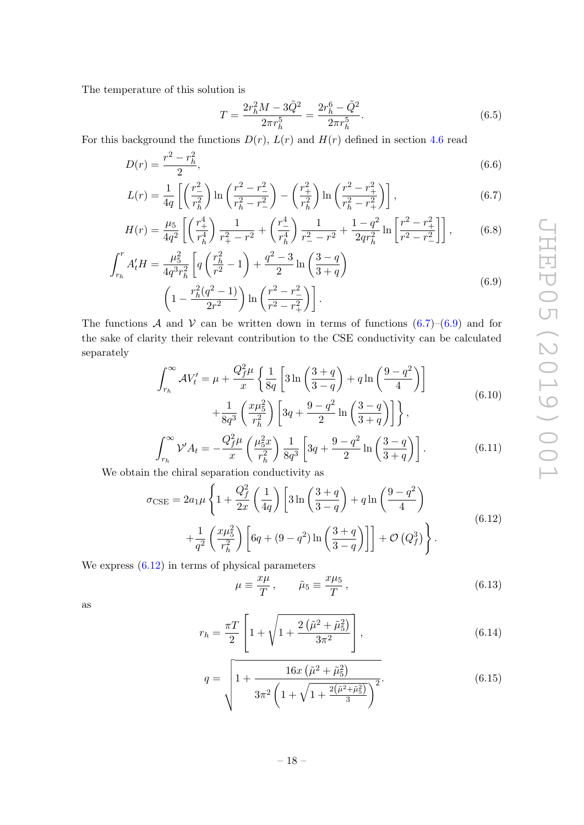The temperature of this solution is

<span id="page-18-1"></span><span id="page-18-0"></span>
$$
T = \frac{2r_h^2 M - 3\tilde{Q}^2}{2\pi r_h^5} = \frac{2r_h^6 - \tilde{Q}^2}{2\pi r_h^5}.
$$
\n(6.5)

For this background the functions  $D(r)$ ,  $L(r)$  and  $H(r)$  defined in section [4.6](#page-15-1) read

$$
D(r) = \frac{r^2 - r_h^2}{2},\tag{6.6}
$$

$$
L(r) = \frac{1}{4q} \left[ \left( \frac{r_{-}^{2}}{r_{h}^{2}} \right) \ln \left( \frac{r_{-}^{2} - r_{-}^{2}}{r_{h}^{2} - r_{-}^{2}} \right) - \left( \frac{r_{+}^{2}}{r_{h}^{2}} \right) \ln \left( \frac{r_{-}^{2} - r_{+}^{2}}{r_{h}^{2} - r_{+}^{2}} \right) \right],
$$
\n(6.7)

$$
H(r) = \frac{\mu_5}{4q^2} \left[ \left( \frac{r_+^4}{r_h^4} \right) \frac{1}{r_+^2 - r^2} + \left( \frac{r_-^4}{r_h^4} \right) \frac{1}{r_-^2 - r^2} + \frac{1 - q^2}{2qr_h^2} \ln \left[ \frac{r^2 - r_+^2}{r^2 - r_-^2} \right] \right],\tag{6.8}
$$

$$
\int_{r_h}^{r} A_t' H = \frac{\mu_5^2}{4q^3 r_h^2} \left[ q \left( \frac{r_h^2}{r^2} - 1 \right) + \frac{q^2 - 3}{2} \ln \left( \frac{3 - q}{3 + q} \right) \right]
$$

$$
\left( 1 - \frac{r_h^2 (q^2 - 1)}{2r^2} \right) \ln \left( \frac{r^2 - r_{-}^2}{r^2 - r_{+}^2} \right) \right].
$$
(6.9)

The functions A and V can be written down in terms of functions  $(6.7)$ – $(6.9)$  and for the sake of clarity their relevant contribution to the CSE conductivity can be calculated separately

$$
\int_{r_h}^{\infty} \mathcal{A}V'_t = \mu + \frac{Q_f^2 \mu}{x} \left\{ \frac{1}{8q} \left[ 3\ln\left(\frac{3+q}{3-q}\right) + q\ln\left(\frac{9-q^2}{4}\right) \right] \right. \\ \left. + \frac{1}{8q^3} \left( \frac{x\mu_5^2}{r_h^2} \right) \left[ 3q + \frac{9-q^2}{2}\ln\left(\frac{3-q}{3+q}\right) \right] \right\}, \tag{6.10}
$$

$$
\int_{r_h}^{\infty} \mathcal{V}' A_t = -\frac{Q_f^2 \mu}{x} \left( \frac{\mu_5^2 x}{r_h^2} \right) \frac{1}{8q^3} \left[ 3q + \frac{9 - q^2}{2} \ln \left( \frac{3 - q}{3 + q} \right) \right].
$$
 (6.11)

We obtain the chiral separation conductivity as

$$
\sigma_{\text{CSE}} = 2a_1\mu \left\{ 1 + \frac{Q_f^2}{2x} \left( \frac{1}{4q} \right) \left[ 3\ln\left(\frac{3+q}{3-q}\right) + q\ln\left(\frac{9-q^2}{4}\right) \right. \right.\left. + \frac{1}{q^2} \left( \frac{x\mu_5^2}{r_h^2} \right) \left[ 6q + (9-q^2)\ln\left(\frac{3+q}{3-q}\right) \right] \right] + \mathcal{O}\left(Q_f^3\right) \right\}.
$$
\n(6.12)

We express  $(6.12)$  in terms of physical parameters

<span id="page-18-2"></span>
$$
\mu \equiv \frac{x\mu}{T}, \qquad \tilde{\mu}_5 \equiv \frac{x\mu_5}{T}, \qquad (6.13)
$$

as

$$
r_h = \frac{\pi T}{2} \left[ 1 + \sqrt{1 + \frac{2\left(\tilde{\mu}^2 + \tilde{\mu}_5^2\right)}{3\pi^2}} \right],\tag{6.14}
$$

$$
q = \sqrt{1 + \frac{16x \left(\tilde{\mu}^2 + \tilde{\mu}_5^2\right)}{3\pi^2 \left(1 + \sqrt{1 + \frac{2\left(\tilde{\mu}^2 + \tilde{\mu}_5^2\right)}{3}}\right)^2}}.
$$
(6.15)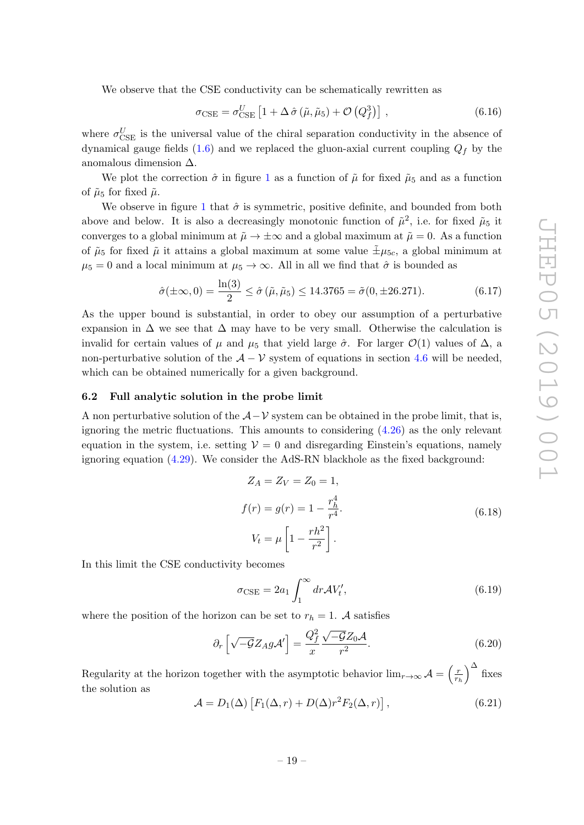We observe that the CSE conductivity can be schematically rewritten as

$$
\sigma_{\text{CSE}} = \sigma_{\text{CSE}}^{U} \left[ 1 + \Delta \hat{\sigma} \left( \tilde{\mu}, \tilde{\mu}_{5} \right) + \mathcal{O} \left( Q_{f}^{3} \right) \right], \tag{6.16}
$$

where  $\sigma_{\text{CSE}}^{U}$  is the universal value of the chiral separation conductivity in the absence of dynamical gauge fields  $(1.6)$  and we replaced the gluon-axial current coupling  $Q_f$  by the anomalous dimension  $\Delta$ .

We plot the correction  $\hat{\sigma}$  in figure [1](#page-20-1) as a function of  $\tilde{\mu}$  for fixed  $\tilde{\mu}_5$  and as a function of  $\tilde{\mu}_5$  for fixed  $\tilde{\mu}$ .

We observe in figure [1](#page-20-1) that  $\hat{\sigma}$  is symmetric, positive definite, and bounded from both above and below. It is also a decreasingly monotonic function of  $\tilde{\mu}^2$ , i.e. for fixed  $\tilde{\mu}_5$  it converges to a global minimum at  $\tilde{\mu} \to \pm \infty$  and a global maximum at  $\tilde{\mu} = 0$ . As a function of  $\tilde{\mu}_5$  for fixed  $\tilde{\mu}$  it attains a global maximum at some value  $\tilde{\pm}\mu_{5c}$ , a global minimum at  $\mu_5 = 0$  and a local minimum at  $\mu_5 \to \infty$ . All in all we find that  $\hat{\sigma}$  is bounded as

$$
\hat{\sigma}(\pm \infty, 0) = \frac{\ln(3)}{2} \le \hat{\sigma}(\tilde{\mu}, \tilde{\mu}_5) \le 14.3765 = \tilde{\sigma}(0, \pm 26.271). \tag{6.17}
$$

As the upper bound is substantial, in order to obey our assumption of a perturbative expansion in  $\Delta$  we see that  $\Delta$  may have to be very small. Otherwise the calculation is invalid for certain values of  $\mu$  and  $\mu_5$  that yield large  $\hat{\sigma}$ . For larger  $\mathcal{O}(1)$  values of  $\Delta$ , a non-perturbative solution of the  $A - V$  system of equations in section [4.6](#page-15-1) will be needed, which can be obtained numerically for a given background.

#### <span id="page-19-0"></span>6.2 Full analytic solution in the probe limit

A non perturbative solution of the  $\mathcal{A}-\mathcal{V}$  system can be obtained in the probe limit, that is, ignoring the metric fluctuations. This amounts to considering [\(4.26\)](#page-14-5) as the only relevant equation in the system, i.e. setting  $\mathcal{V} = 0$  and disregarding Einstein's equations, namely ignoring equation [\(4.29\)](#page-15-4). We consider the AdS-RN blackhole as the fixed background:

<span id="page-19-1"></span>
$$
Z_A = Z_V = Z_0 = 1,
$$
  
\n
$$
f(r) = g(r) = 1 - \frac{r_h^4}{r^4}.
$$
  
\n
$$
V_t = \mu \left[ 1 - \frac{rh^2}{r^2} \right].
$$
\n(6.18)

In this limit the CSE conductivity becomes

$$
\sigma_{\text{CSE}} = 2a_1 \int_1^\infty dr \mathcal{A} V_t',\tag{6.19}
$$

where the position of the horizon can be set to  $r_h = 1$ . A satisfies

$$
\partial_r \left[ \sqrt{-\mathcal{G}} Z_A g \mathcal{A}' \right] = \frac{Q_f^2}{x} \frac{\sqrt{-\mathcal{G}} Z_0 \mathcal{A}}{r^2}.
$$
 (6.20)

Regularity at the horizon together with the asymptotic behavior  $\lim_{r\to\infty} A = \left(\frac{r}{r}\right)$  $\overline{r_h}$  $\int_{0}^{\Delta}$  fixes the solution as

$$
\mathcal{A} = D_1(\Delta) \left[ F_1(\Delta, r) + D(\Delta) r^2 F_2(\Delta, r) \right],\tag{6.21}
$$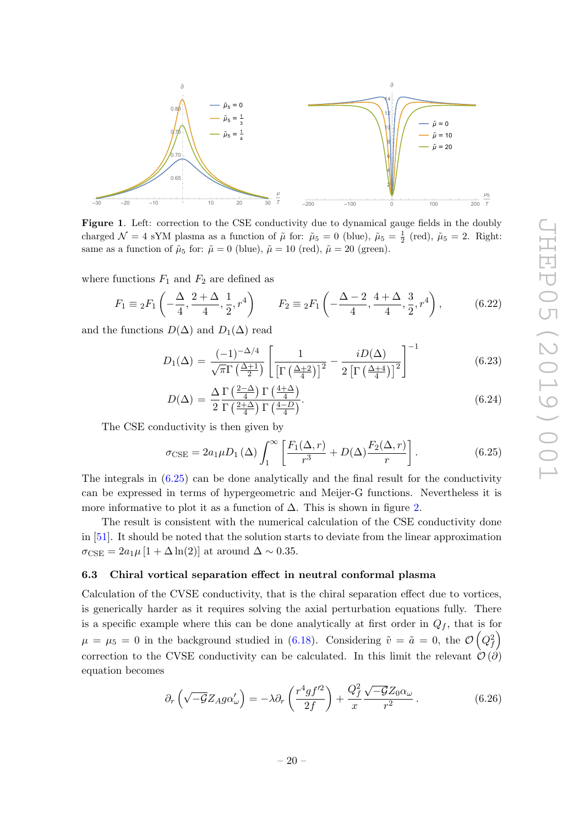<span id="page-20-1"></span>

Figure 1. Left: correction to the CSE conductivity due to dynamical gauge fields in the doubly charged  $\mathcal{N}=4$  sYM plasma as a function of  $\tilde{\mu}$  for:  $\tilde{\mu}_5=0$  (blue),  $\tilde{\mu}_5=\frac{1}{2}$  (red),  $\tilde{\mu}_5=2$ . Right: same as a function of  $\tilde{\mu}_5$  for:  $\tilde{\mu} = 0$  (blue),  $\tilde{\mu} = 10$  (red),  $\tilde{\mu} = 20$  (green).

where functions  $F_1$  and  $F_2$  are defined as

$$
F_1 \equiv {}_2F_1\left(-\frac{\Delta}{4}, \frac{2+\Delta}{4}, \frac{1}{2}, r^4\right) \qquad F_2 \equiv {}_2F_1\left(-\frac{\Delta-2}{4}, \frac{4+\Delta}{4}, \frac{3}{2}, r^4\right),\tag{6.22}
$$

and the functions  $D(\Delta)$  and  $D_1(\Delta)$  read

$$
D_1(\Delta) = \frac{(-1)^{-\Delta/4}}{\sqrt{\pi}\Gamma\left(\frac{\Delta+1}{2}\right)} \left[ \frac{1}{\left[\Gamma\left(\frac{\Delta+2}{4}\right)\right]^2} - \frac{iD(\Delta)}{2\left[\Gamma\left(\frac{\Delta+4}{4}\right)\right]^2} \right]^{-1} \tag{6.23}
$$

$$
D(\Delta) = \frac{\Delta}{2} \frac{\Gamma\left(\frac{2-\Delta}{4}\right) \Gamma\left(\frac{4+\Delta}{4}\right)}{\Gamma\left(\frac{2+\Delta}{4}\right) \Gamma\left(\frac{4-D}{4}\right)}.
$$
\n(6.24)

The CSE conductivity is then given by

<span id="page-20-2"></span>
$$
\sigma_{\text{CSE}} = 2a_1 \mu D_1(\Delta) \int_1^{\infty} \left[ \frac{F_1(\Delta, r)}{r^3} + D(\Delta) \frac{F_2(\Delta, r)}{r} \right]. \tag{6.25}
$$

The integrals in  $(6.25)$  can be done analytically and the final result for the conductivity can be expressed in terms of hypergeometric and Meijer-G functions. Nevertheless it is more informative to plot it as a function of  $\Delta$ . This is shown in figure [2.](#page-21-0)

The result is consistent with the numerical calculation of the CSE conductivity done in [\[51\]](#page-28-3). It should be noted that the solution starts to deviate from the linear approximation  $\sigma_{\text{CSE}} = 2a_1\mu\left[1 + \Delta\ln(2)\right]$  at around  $\Delta \sim 0.35$ .

### <span id="page-20-0"></span>6.3 Chiral vortical separation effect in neutral conformal plasma

Calculation of the CVSE conductivity, that is the chiral separation effect due to vortices, is generically harder as it requires solving the axial perturbation equations fully. There is a specific example where this can be done analytically at first order in  $Q_f$ , that is for  $\mu = \mu_5 = 0$  in the background studied in [\(6.18\)](#page-19-1). Considering  $\tilde{v} = \tilde{a} = 0$ , the  $\mathcal{O}(Q_f^2)$ correction to the CVSE conductivity can be calculated. In this limit the relevant  $\mathcal{O}(\partial)$ equation becomes

<span id="page-20-3"></span>
$$
\partial_r \left( \sqrt{-\mathcal{G}} Z_A g \alpha'_{\omega} \right) = -\lambda \partial_r \left( \frac{r^4 g f'^2}{2f} \right) + \frac{Q_f^2}{x} \frac{\sqrt{-\mathcal{G}} Z_0 \alpha_{\omega}}{r^2} \,. \tag{6.26}
$$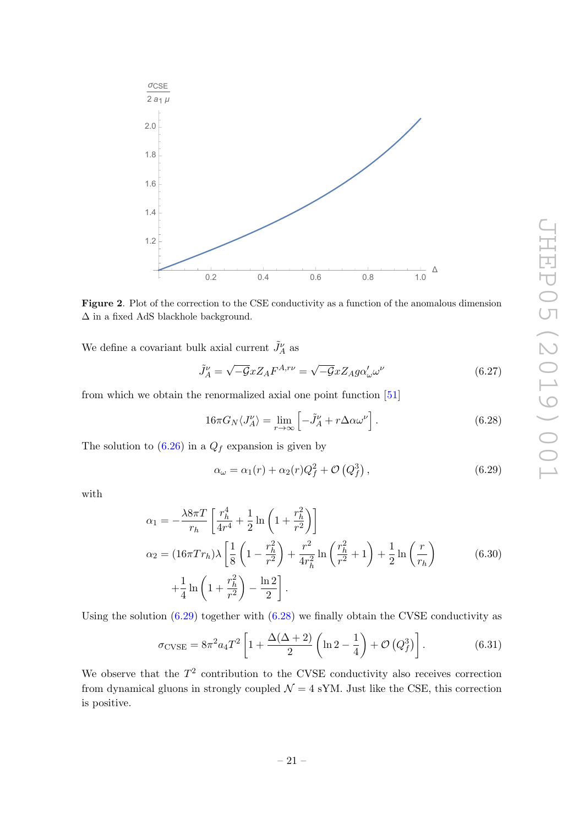<span id="page-21-0"></span>

Figure 2. Plot of the correction to the CSE conductivity as a function of the anomalous dimension ∆ in a fixed AdS blackhole background.

We define a covariant bulk axial current  $\tilde{J}^{\nu}_A$  as

$$
\tilde{J}_A^{\nu} = \sqrt{-\mathcal{G}} x Z_A F^{A,r\nu} = \sqrt{-\mathcal{G}} x Z_A g \alpha_{\omega}^{\prime} \omega^{\nu}
$$
\n(6.27)

from which we obtain the renormalized axial one point function [\[51\]](#page-28-3)

<span id="page-21-2"></span>
$$
16\pi G_N \langle J_A^\nu \rangle = \lim_{r \to \infty} \left[ -\tilde{J}_A^\nu + r \Delta \alpha \omega^\nu \right]. \tag{6.28}
$$

The solution to  $(6.26)$  in a  $Q_f$  expansion is given by

<span id="page-21-1"></span>
$$
\alpha_{\omega} = \alpha_1(r) + \alpha_2(r)Q_f^2 + \mathcal{O}\left(Q_f^3\right),\tag{6.29}
$$

with

$$
\alpha_1 = -\frac{\lambda 8\pi T}{r_h} \left[ \frac{r_h^4}{4r^4} + \frac{1}{2} \ln\left(1 + \frac{r_h^2}{r^2}\right) \right]
$$
  
\n
$$
\alpha_2 = (16\pi T r_h) \lambda \left[ \frac{1}{8} \left(1 - \frac{r_h^2}{r^2}\right) + \frac{r^2}{4r_h^2} \ln\left(\frac{r_h^2}{r^2} + 1\right) + \frac{1}{2} \ln\left(\frac{r}{r_h}\right) \right]
$$
  
\n
$$
+ \frac{1}{4} \ln\left(1 + \frac{r_h^2}{r^2}\right) - \frac{\ln 2}{2} \right].
$$
 (6.30)

Using the solution  $(6.29)$  together with  $(6.28)$  we finally obtain the CVSE conductivity as

$$
\sigma_{\text{CVSE}} = 8\pi^2 a_4 T^2 \left[ 1 + \frac{\Delta(\Delta + 2)}{2} \left( \ln 2 - \frac{1}{4} \right) + \mathcal{O}\left(Q_f^3\right) \right]. \tag{6.31}
$$

We observe that the  $T^2$  contribution to the CVSE conductivity also receives correction from dynamical gluons in strongly coupled  $\mathcal{N} = 4$  sYM. Just like the CSE, this correction is positive.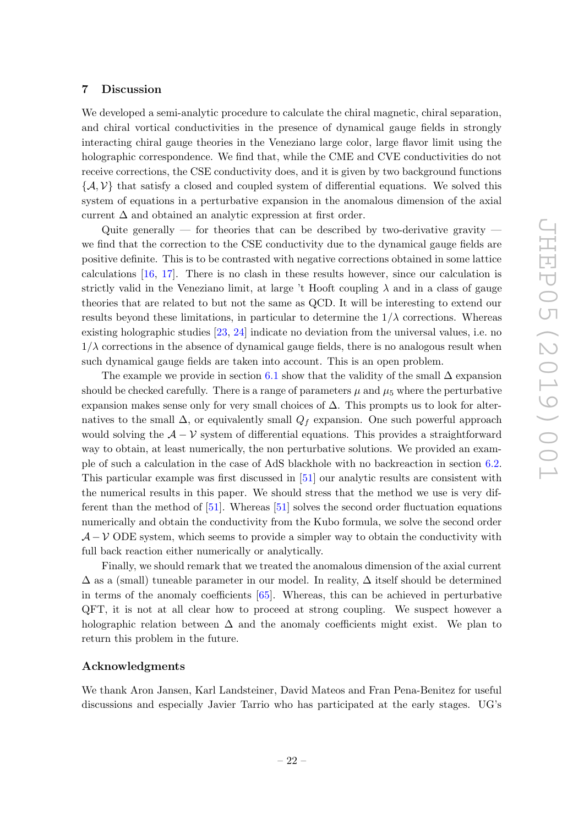#### <span id="page-22-0"></span>7 Discussion

We developed a semi-analytic procedure to calculate the chiral magnetic, chiral separation, and chiral vortical conductivities in the presence of dynamical gauge fields in strongly interacting chiral gauge theories in the Veneziano large color, large flavor limit using the holographic correspondence. We find that, while the CME and CVE conductivities do not receive corrections, the CSE conductivity does, and it is given by two background functions  $\{\mathcal{A}, \mathcal{V}\}\$  that satisfy a closed and coupled system of differential equations. We solved this system of equations in a perturbative expansion in the anomalous dimension of the axial current  $\Delta$  and obtained an analytic expression at first order.

Quite generally — for theories that can be described by two-derivative gravity  $$ we find that the correction to the CSE conductivity due to the dynamical gauge fields are positive definite. This is to be contrasted with negative corrections obtained in some lattice calculations [\[16,](#page-26-2) [17\]](#page-26-3). There is no clash in these results however, since our calculation is strictly valid in the Veneziano limit, at large 't Hooft coupling  $\lambda$  and in a class of gauge theories that are related to but not the same as QCD. It will be interesting to extend our results beyond these limitations, in particular to determine the  $1/\lambda$  corrections. Whereas existing holographic studies [\[23,](#page-26-8) [24\]](#page-26-9) indicate no deviation from the universal values, i.e. no  $1/\lambda$  corrections in the absence of dynamical gauge fields, there is no analogous result when such dynamical gauge fields are taken into account. This is an open problem.

The example we provide in section [6.1](#page-17-1) show that the validity of the small  $\Delta$  expansion should be checked carefully. There is a range of parameters  $\mu$  and  $\mu_5$  where the perturbative expansion makes sense only for very small choices of  $\Delta$ . This prompts us to look for alternatives to the small  $\Delta$ , or equivalently small  $Q_f$  expansion. One such powerful approach would solving the  $A - V$  system of differential equations. This provides a straightforward way to obtain, at least numerically, the non perturbative solutions. We provided an example of such a calculation in the case of AdS blackhole with no backreaction in section [6.2.](#page-19-0) This particular example was first discussed in [\[51\]](#page-28-3) our analytic results are consistent with the numerical results in this paper. We should stress that the method we use is very different than the method of  $[51]$ . Whereas  $[51]$  solves the second order fluctuation equations numerically and obtain the conductivity from the Kubo formula, we solve the second order  $\mathcal{A} - \mathcal{V}$  ODE system, which seems to provide a simpler way to obtain the conductivity with full back reaction either numerically or analytically.

Finally, we should remark that we treated the anomalous dimension of the axial current  $\Delta$  as a (small) tuneable parameter in our model. In reality,  $\Delta$  itself should be determined in terms of the anomaly coefficients [\[65\]](#page-28-16). Whereas, this can be achieved in perturbative QFT, it is not at all clear how to proceed at strong coupling. We suspect however a holographic relation between  $\Delta$  and the anomaly coefficients might exist. We plan to return this problem in the future.

#### Acknowledgments

We thank Aron Jansen, Karl Landsteiner, David Mateos and Fran Pena-Benitez for useful discussions and especially Javier Tarrio who has participated at the early stages. UG's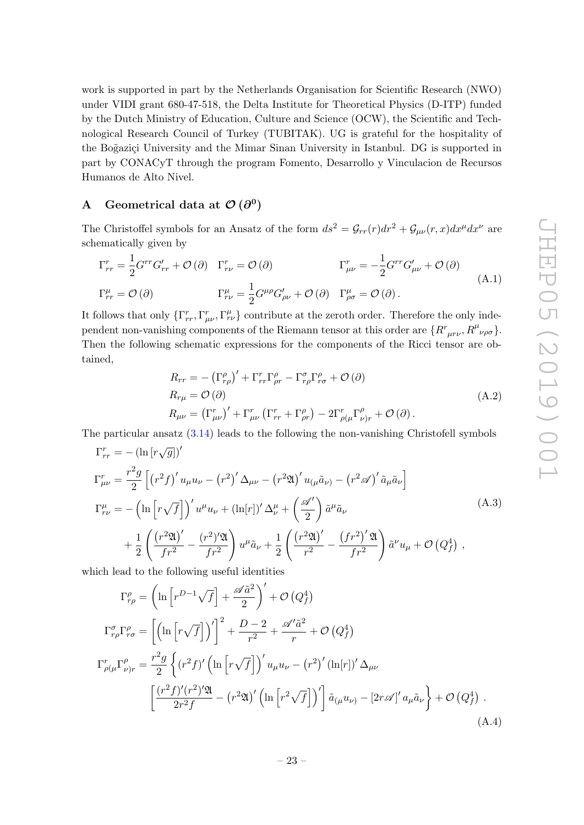work is supported in part by the Netherlands Organisation for Scientific Research (NWO) under VIDI grant 680-47-518, the Delta Institute for Theoretical Physics (D-ITP) funded by the Dutch Ministry of Education, Culture and Science (OCW), the Scientific and Technological Research Council of Turkey (TUBITAK). UG is grateful for the hospitality of the Boğaziçi University and the Mimar Sinan University in Istanbul. DG is supported in part by CONACyT through the program Fomento, Desarrollo y Vinculacion de Recursos Humanos de Alto Nivel.

# <span id="page-23-0"></span>A Geometrical data at  $\mathcal{O}(\partial^0)$

The Christoffel symbols for an Ansatz of the form  $ds^2 = \mathcal{G}_{rr}(r)dr^2 + \mathcal{G}_{\mu\nu}(r, x)dx^{\mu}dx^{\nu}$  are schematically given by

$$
\Gamma_{rr}^r = \frac{1}{2} G^{rr} G'_{rr} + \mathcal{O}(\partial) \quad \Gamma_{r\nu}^r = \mathcal{O}(\partial) \qquad \qquad \Gamma_{\mu\nu}^r = -\frac{1}{2} G^{rr} G'_{\mu\nu} + \mathcal{O}(\partial) \n\Gamma_{rr}^\mu = \mathcal{O}(\partial) \qquad \qquad \Gamma_{r\nu}^\mu = \frac{1}{2} G^{\mu\rho} G'_{\rho\nu} + \mathcal{O}(\partial) \quad \Gamma_{\rho\sigma}^\mu = \mathcal{O}(\partial).
$$
\n(A.1)

It follows that only  $\{\Gamma^r_{rr},\Gamma^r_{\mu\nu},\Gamma^{\mu}_{r\nu}\}$  contribute at the zeroth order. Therefore the only independent non-vanishing components of the Riemann tensor at this order are  $\{R^r_{\mu r\nu}, R^\mu_{\nu\rho\sigma}\}.$ Then the following schematic expressions for the components of the Ricci tensor are obtained,

$$
R_{rr} = -(\Gamma_{r\rho}^{\rho})' + \Gamma_{rr}^r \Gamma_{\rho r}^{\rho} - \Gamma_{r\rho}^{\sigma} \Gamma_{r\sigma}^{\rho} + \mathcal{O}(\partial)
$$
  
\n
$$
R_{r\mu} = \mathcal{O}(\partial)
$$
  
\n
$$
R_{\mu\nu} = (\Gamma_{\mu\nu}^r)' + \Gamma_{\mu\nu}^r (\Gamma_{rr}^r + \Gamma_{\rho r}^{\rho}) - 2\Gamma_{\rho(\mu}^r \Gamma_{\nu)r}^{\rho} + \mathcal{O}(\partial).
$$
\n(A.2)

The particular ansatz  $(3.14)$  leads to the following the non-vanishing Christofell symbols

$$
\Gamma_{rr}^r = -\left(\ln\left[r\sqrt{g}\right]\right)'
$$
\n
$$
\Gamma_{\mu\nu}^r = \frac{r^2 g}{2} \left[ \left(r^2 f\right)' u_{\mu} u_{\nu} - \left(r^2\right)' \Delta_{\mu\nu} - \left(r^2 \mathfrak{A}\right)' u_{(\mu} \tilde{a}_{\nu)} - \left(r^2 \mathfrak{A}\right)' \tilde{a}_{\mu} \tilde{a}_{\nu} \right]
$$
\n
$$
\Gamma_{rr}^{\mu} = -\left(\ln\left[r\sqrt{f}\right]\right)' u^{\mu} u_{\nu} + \left(\ln[r]\right)' \Delta_{\nu}^{\mu} + \left(\frac{\mathcal{A}'}{2}\right) \tilde{a}^{\mu} \tilde{a}_{\nu}
$$
\n
$$
+ \frac{1}{2} \left(\frac{\left(r^2 \mathfrak{A}\right)'}{fr^2} - \frac{\left(r^2\right)' \mathfrak{A}}{fr^2}\right) u^{\mu} \tilde{a}_{\nu} + \frac{1}{2} \left(\frac{\left(r^2 \mathfrak{A}\right)'}{r^2} - \frac{\left(fr^2\right)' \mathfrak{A}}{fr^2}\right) \tilde{a}^{\nu} u_{\mu} + \mathcal{O}\left(Q_f^4\right) ,
$$
\n(4.3)

which lead to the following useful identities

$$
\Gamma_{r\rho}^{\rho} = \left(\ln\left[r^{D-1}\sqrt{f}\right] + \frac{\mathscr{A}\tilde{a}^{2}}{2}\right)' + \mathcal{O}\left(Q_{f}^{4}\right)
$$
\n
$$
\Gamma_{r\rho}^{\sigma}\Gamma_{r\sigma}^{\rho} = \left[\left(\ln\left[r\sqrt{f}\right]\right)'\right]^{2} + \frac{D-2}{r^{2}} + \frac{\mathscr{A}'\tilde{a}^{2}}{r} + \mathcal{O}\left(Q_{f}^{4}\right)
$$
\n
$$
\Gamma_{\rho(\mu}^{r}\Gamma_{\nu)r}^{\rho} = \frac{r^{2}g}{2}\left\{(r^{2}f)'\left(\ln\left[r\sqrt{f}\right]\right)'u_{\mu}u_{\nu} - (r^{2})'\left(\ln[r]\right)'\Delta_{\mu\nu}\right\}
$$
\n
$$
\left[\frac{(r^{2}f)'(r^{2})'\mathfrak{A}}{2r^{2}f} - (r^{2}\mathfrak{A})'\left(\ln\left[r^{2}\sqrt{f}\right]\right)'\right]\tilde{a}_{(\mu}u_{\nu)} - [2r\mathscr{A}']'a_{\mu}\tilde{a}_{\nu}\right\} + \mathcal{O}\left(Q_{f}^{4}\right).
$$
\n(A.4)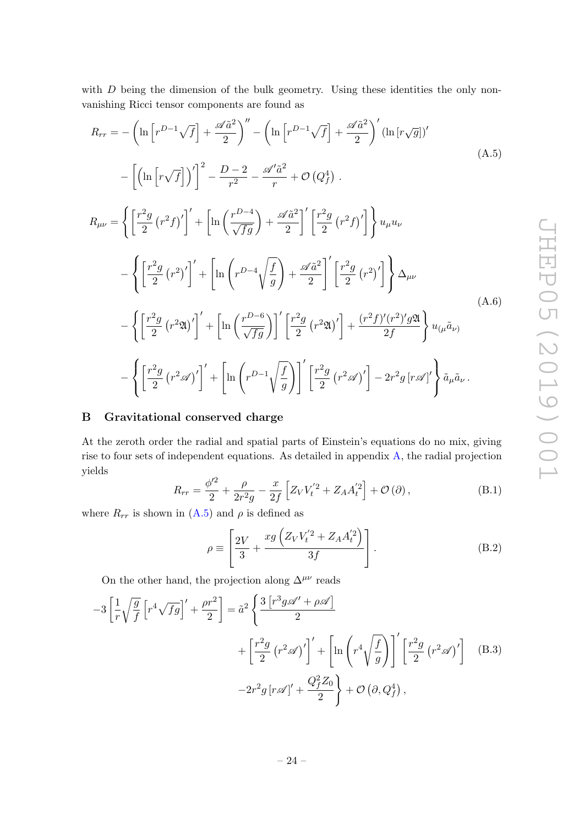with  $D$  being the dimension of the bulk geometry. Using these identities the only nonvanishing Ricci tensor components are found as

<span id="page-24-2"></span>
$$
R_{rr} = -\left(\ln\left[r^{D-1}\sqrt{f}\right] + \frac{\mathscr{A}\tilde{a}^{2}}{2}\right)^{''} - \left(\ln\left[r^{D-1}\sqrt{f}\right] + \frac{\mathscr{A}\tilde{a}^{2}}{2}\right)^{'}\left(\ln\left[r\sqrt{g}\right]\right)^{'} - \left[\left(\ln\left[r\sqrt{f}\right]\right)^{'}\right]^{2} - \frac{D-2}{r^{2}} - \frac{\mathscr{A}'\tilde{a}^{2}}{r} + \mathcal{O}\left(Q_{f}^{4}\right).
$$
\n
$$
R_{\mu\nu} = \left\{\left[\frac{r^{2}g}{2}\left(r^{2}f\right)'\right]'\right\} + \left[\ln\left(\frac{r^{D-4}}{\sqrt{fg}}\right) + \frac{\mathscr{A}\tilde{a}^{2}}{2}\right]'\left[\frac{r^{2}g}{2}\left(r^{2}f\right)'\right]\right\}u_{\mu}u_{\nu}
$$
\n
$$
-\left\{\left[\frac{r^{2}g}{2}\left(r^{2}\right)'\right]'\right\} + \left[\ln\left(r^{D-4}\sqrt{\frac{f}{g}}\right) + \frac{\mathscr{A}\tilde{a}^{2}}{2}\right]'\left[\frac{r^{2}g}{2}\left(r^{2}\right)'\right]\right\}\Delta_{\mu\nu}
$$
\n
$$
-\left\{\left[\frac{r^{2}g}{2}\left(r^{2}g\right)'\right]'\right\} + \left[\ln\left(\frac{r^{D-6}}{\sqrt{fg}}\right)\right]'\left[\frac{r^{2}g}{2}\left(r^{2}g\right)'\right] + \frac{(r^{2}f)'(r^{2})'g\mathfrak{A}}{2f}\right\}u_{(\mu}\tilde{a}_{\nu)}
$$
\n
$$
-\left\{\left[\frac{r^{2}g}{2}\left(r^{2}\mathscr{A}\right)'\right]'\right\} + \left[\ln\left(r^{D-1}\sqrt{\frac{f}{g}}\right)\right]'\left[\frac{r^{2}g}{2}\left(r^{2}\mathscr{A}\right)'\right] - 2r^{2}g\left[r\mathscr{A}\right]'\right\}\tilde{a}_{\mu}\tilde{a}_{\nu}.
$$
\n(A.6)

## <span id="page-24-0"></span>B Gravitational conserved charge

At the zeroth order the radial and spatial parts of Einstein's equations do no mix, giving rise to four sets of independent equations. As detailed in appendix [A,](#page-23-0) the radial projection yields

$$
R_{rr} = \frac{\phi'^2}{2} + \frac{\rho}{2r^2g} - \frac{x}{2f} \left[ Z_V V_t^{'2} + Z_A A_t^{'2} \right] + \mathcal{O}\left(\partial\right),\tag{B.1}
$$

where  $R_{rr}$  is shown in [\(A.5\)](#page-24-2) and  $\rho$  is defined as

<span id="page-24-1"></span>
$$
\rho \equiv \left[ \frac{2V}{3} + \frac{xg\left(Z_V V_t^{'2} + Z_A A_t^{'2}\right)}{3f} \right].
$$
\n(B.2)

On the other hand, the projection along  $\Delta^{\mu\nu}$  reads

$$
-3\left[\frac{1}{r}\sqrt{\frac{g}{f}}\left[r^4\sqrt{fg}\right]'+\frac{\rho r^2}{2}\right] = \tilde{a}^2 \left\{\frac{3\left[r^3g\mathscr{A}'+\rho\mathscr{A}\right]}{2} + \left[\frac{r^2g}{2}\left(r^2\mathscr{A}\right)'\right]'+\left[\ln\left(r^4\sqrt{\frac{f}{g}}\right)\right]'\left[\frac{r^2g}{2}\left(r^2\mathscr{A}\right)'\right] \tag{B.3}
$$

$$
-2r^2g\left[r\mathscr{A}\right]'+\frac{Q_f^2Z_0}{2} + \mathcal{O}\left(\partial,\mathcal{Q}_f^4\right),
$$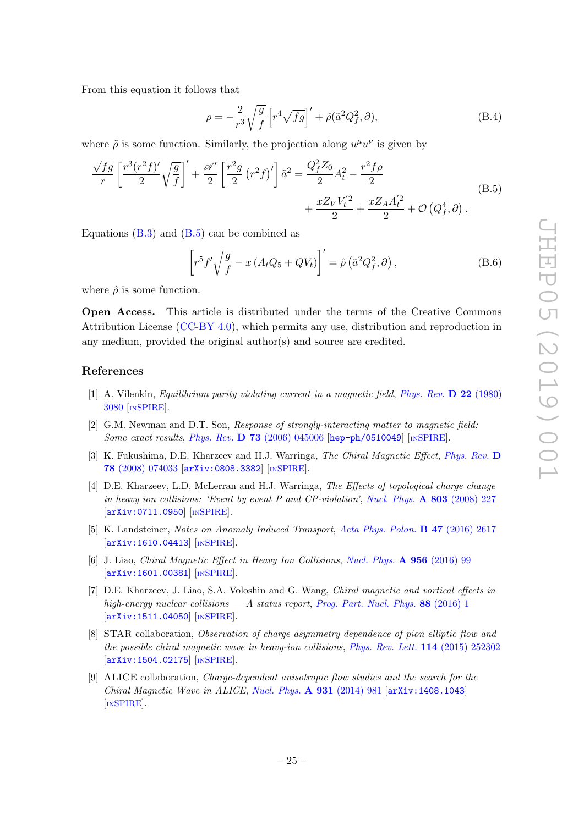From this equation it follows that

<span id="page-25-7"></span>
$$
\rho = -\frac{2}{r^3} \sqrt{\frac{g}{f}} \left[ r^4 \sqrt{fg} \right]' + \tilde{\rho} (\tilde{a}^2 Q_f^2, \partial), \tag{B.4}
$$

where  $\tilde{\rho}$  is some function. Similarly, the projection along  $u^{\mu}u^{\nu}$  is given by

$$
\frac{\sqrt{fg}}{r} \left[ \frac{r^3 (r^2 f)'}{2} \sqrt{\frac{g}{f}} \right]' + \frac{\mathscr{A}'}{2} \left[ \frac{r^2 g}{2} (r^2 f)' \right] \tilde{a}^2 = \frac{Q_f^2 Z_0}{2} A_t^2 - \frac{r^2 f \rho}{2} + \frac{x Z_V V_t^{'2}}{2} + \frac{x Z_A A_t^{'2}}{2} + \mathcal{O} \left( Q_f^4, \partial \right). \tag{B.5}
$$

Equations  $(B.3)$  and  $(B.5)$  can be combined as

$$
\left[r^5f'\sqrt{\frac{g}{f}} - x\left(A_tQ_5 + QV_t\right)\right]' = \hat{\rho}\left(\tilde{a}^2Q_f^2, \partial\right),\tag{B.6}
$$

where  $\hat{\rho}$  is some function.

Open Access. This article is distributed under the terms of the Creative Commons Attribution License [\(CC-BY 4.0\)](https://creativecommons.org/licenses/by/4.0/), which permits any use, distribution and reproduction in any medium, provided the original author(s) and source are credited.

### References

- <span id="page-25-0"></span>[1] A. Vilenkin, Equilibrium parity violating current in a magnetic field, [Phys. Rev.](https://doi.org/10.1103/PhysRevD.22.3080) D 22 (1980) [3080](https://doi.org/10.1103/PhysRevD.22.3080) [IN[SPIRE](https://inspirehep.net/search?p=find+J+%22Phys.Rev.,D22,3080%22)].
- <span id="page-25-1"></span>[2] G.M. Newman and D.T. Son, Response of strongly-interacting matter to magnetic field: Some exact results, Phys. Rev. D 73 [\(2006\) 045006](https://doi.org/10.1103/PhysRevD.73.045006) [[hep-ph/0510049](https://arxiv.org/abs/hep-ph/0510049)] [IN[SPIRE](https://inspirehep.net/search?p=find+J+%22Phys.Rev.,D73,045006%22)].
- <span id="page-25-6"></span>[3] K. Fukushima, D.E. Kharzeev and H.J. Warringa, The Chiral Magnetic Effect, [Phys. Rev.](https://doi.org/10.1103/PhysRevD.78.074033) D 78 [\(2008\) 074033](https://doi.org/10.1103/PhysRevD.78.074033) [[arXiv:0808.3382](https://arxiv.org/abs/0808.3382)] [IN[SPIRE](https://inspirehep.net/search?p=find+J+%22Phys.Rev.,D78,074033%22)].
- <span id="page-25-2"></span>[4] D.E. Kharzeev, L.D. McLerran and H.J. Warringa, The Effects of topological charge change in heavy ion collisions: 'Event by event P and CP-violation', [Nucl. Phys.](https://doi.org/10.1016/j.nuclphysa.2008.02.298)  $\bf{A} 803$  (2008) 227 [[arXiv:0711.0950](https://arxiv.org/abs/0711.0950)] [IN[SPIRE](https://inspirehep.net/search?p=find+J+%22Nucl.Phys.,A803,227%22)].
- <span id="page-25-3"></span>[5] K. Landsteiner, Notes on Anomaly Induced Transport, [Acta Phys. Polon.](https://doi.org/10.5506/APhysPolB.47.2617) B 47 (2016) 2617 [[arXiv:1610.04413](https://arxiv.org/abs/1610.04413)] [IN[SPIRE](https://inspirehep.net/search?p=find+EPRINT+arXiv:1610.04413)].
- <span id="page-25-4"></span>[6] J. Liao, Chiral Magnetic Effect in Heavy Ion Collisions, [Nucl. Phys.](https://doi.org/10.1016/j.nuclphysa.2016.02.027) A 956 (2016) 99 [[arXiv:1601.00381](https://arxiv.org/abs/1601.00381)] [IN[SPIRE](https://inspirehep.net/search?p=find+J+%22Nucl.Phys.,A956,99%22)].
- [7] D.E. Kharzeev, J. Liao, S.A. Voloshin and G. Wang, Chiral magnetic and vortical effects in high-energy nuclear collisions  $- A$  status report, [Prog. Part. Nucl. Phys.](https://doi.org/10.1016/j.ppnp.2016.01.001) 88 (2016) 1 [[arXiv:1511.04050](https://arxiv.org/abs/1511.04050)] [IN[SPIRE](https://inspirehep.net/search?p=find+J+%22Prog.Part.Nucl.Phys.,88,1%22)].
- [8] STAR collaboration, Observation of charge asymmetry dependence of pion elliptic flow and the possible chiral magnetic wave in heavy-ion collisions, [Phys. Rev. Lett.](https://doi.org/10.1103/PhysRevLett.114.252302) 114 (2015) 252302 [[arXiv:1504.02175](https://arxiv.org/abs/1504.02175)] [IN[SPIRE](https://inspirehep.net/search?p=find+J+%22Phys.Rev.Lett.,114,252302%22)].
- <span id="page-25-5"></span>[9] ALICE collaboration, Charge-dependent anisotropic flow studies and the search for the Chiral Magnetic Wave in ALICE, [Nucl. Phys.](https://doi.org/10.1016/j.nuclphysa.2014.09.070) A 931 (2014) 981 [[arXiv:1408.1043](https://arxiv.org/abs/1408.1043)] [IN[SPIRE](https://inspirehep.net/search?p=find+J+%22Nucl.Phys.,A931,981%22)].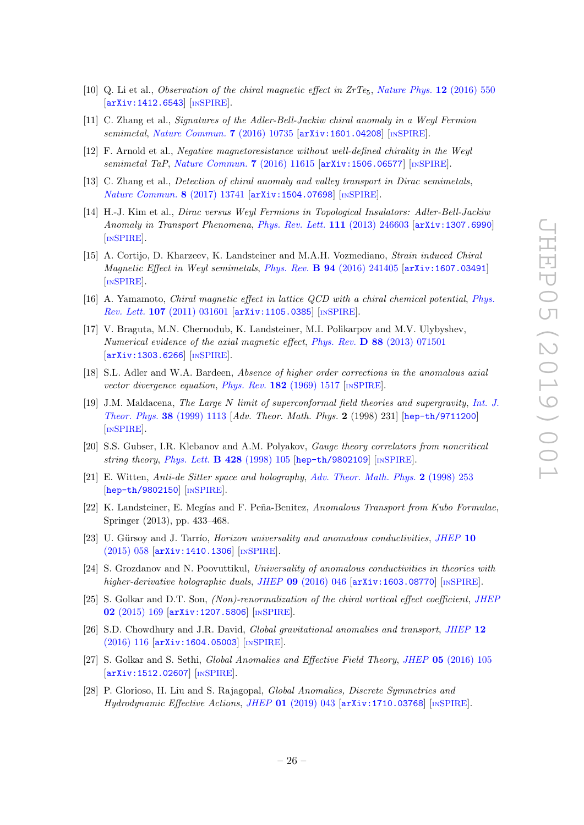- <span id="page-26-0"></span>[10] Q. Li et al., *Observation of the chiral magnetic effect in ZrTe<sub>5</sub>*, *[Nature Phys.](https://doi.org/10.1038/nphys3648)* **12** (2016) 550 [[arXiv:1412.6543](https://arxiv.org/abs/1412.6543)] [IN[SPIRE](https://inspirehep.net/search?p=find+EPRINT+arXiv:1412.6543)].
- [11] C. Zhang et al., Signatures of the Adler-Bell-Jackiw chiral anomaly in a Weyl Fermion semimetal, [Nature Commun.](https://doi.org/10.1038/ncomms10735) 7 (2016) 10735 [[arXiv:1601.04208](https://arxiv.org/abs/1601.04208)] [IN[SPIRE](https://inspirehep.net/search?p=find+EPRINT+arXiv:1601.04208)].
- [12] F. Arnold et al., Negative magnetoresistance without well-defined chirality in the Weyl semimetal TaP, [Nature Commun.](https://doi.org/10.1038/ncomms11615) 7 (2016) 11615 [[arXiv:1506.06577](https://arxiv.org/abs/1506.06577)] [IN[SPIRE](https://inspirehep.net/search?p=find+EPRINT+arXiv:1506.06577)].
- [13] C. Zhang et al., Detection of chiral anomaly and valley transport in Dirac semimetals, [Nature Commun.](https://doi.org/10.1038/ncomms13741) 8 (2017) 13741 [[arXiv:1504.07698](https://arxiv.org/abs/1504.07698)] [IN[SPIRE](https://inspirehep.net/search?p=find+EPRINT+arXiv:1504.07698)].
- [14] H.-J. Kim et al., Dirac versus Weyl Fermions in Topological Insulators: Adler-Bell-Jackiw Anomaly in Transport Phenomena, [Phys. Rev. Lett.](https://doi.org/10.1103/PhysRevLett.111.246603) 111 (2013) 246603 [[arXiv:1307.6990](https://arxiv.org/abs/1307.6990)] [IN[SPIRE](https://inspirehep.net/search?p=find+J+%22Phys.Rev.Lett.,111,246603%22)].
- <span id="page-26-1"></span>[15] A. Cortijo, D. Kharzeev, K. Landsteiner and M.A.H. Vozmediano, Strain induced Chiral Magnetic Effect in Weyl semimetals, Phys. Rev. B 94 [\(2016\) 241405](https://doi.org/10.1103/PhysRevB.94.241405) [[arXiv:1607.03491](https://arxiv.org/abs/1607.03491)] [IN[SPIRE](https://inspirehep.net/search?p=find+J+%22Phys.Rev.,B94,241405%22)].
- <span id="page-26-2"></span>[16] A. Yamamoto, Chiral magnetic effect in lattice QCD with a chiral chemical potential, [Phys.](https://doi.org/10.1103/PhysRevLett.107.031601) Rev. Lett. 107 [\(2011\) 031601](https://doi.org/10.1103/PhysRevLett.107.031601) [[arXiv:1105.0385](https://arxiv.org/abs/1105.0385)] [IN[SPIRE](https://inspirehep.net/search?p=find+J+%22Phys.Rev.Lett.,107,031601%22)].
- <span id="page-26-3"></span>[17] V. Braguta, M.N. Chernodub, K. Landsteiner, M.I. Polikarpov and M.V. Ulybyshev, Numerical evidence of the axial magnetic effect, Phys. Rev. D 88 [\(2013\) 071501](https://doi.org/10.1103/PhysRevD.88.071501) [[arXiv:1303.6266](https://arxiv.org/abs/1303.6266)] [IN[SPIRE](https://inspirehep.net/search?p=find+J+%22Phys.Rev.,D88,071501%22)].
- <span id="page-26-4"></span>[18] S.L. Adler and W.A. Bardeen, Absence of higher order corrections in the anomalous axial vector divergence equation, *Phys. Rev.*  $182$  [\(1969\) 1517](https://doi.org/10.1103/PhysRev.182.1517) [IN[SPIRE](https://inspirehep.net/search?p=find+J+%22Phys.Rev.,182,1517%22)].
- <span id="page-26-5"></span>[19] J.M. Maldacena, The Large N limit of superconformal field theories and supergravity, [Int. J.](https://doi.org/10.1023/A:1026654312961) [Theor. Phys.](https://doi.org/10.1023/A:1026654312961) 38 (1999) 1113 [Adv. Theor. Math. Phys. 2 (1998) 231] [[hep-th/9711200](https://arxiv.org/abs/hep-th/9711200)] [IN[SPIRE](https://inspirehep.net/search?p=find+J+%22Adv.Theor.Math.Phys.,2,231%22)].
- [20] S.S. Gubser, I.R. Klebanov and A.M. Polyakov, Gauge theory correlators from noncritical string theory, [Phys. Lett.](https://doi.org/10.1016/S0370-2693(98)00377-3) **B 428** (1998) 105 [[hep-th/9802109](https://arxiv.org/abs/hep-th/9802109)] [IN[SPIRE](https://inspirehep.net/search?p=find+J+%22Phys.Lett.,B428,105%22)].
- <span id="page-26-6"></span>[21] E. Witten, Anti-de Sitter space and holography, [Adv. Theor. Math. Phys.](https://doi.org/10.4310/ATMP.1998.v2.n2.a2) 2 (1998) 253 [[hep-th/9802150](https://arxiv.org/abs/hep-th/9802150)] [IN[SPIRE](https://inspirehep.net/search?p=find+J+%22Adv.Theor.Math.Phys.,2,253%22)].
- <span id="page-26-7"></span>[22] K. Landsteiner, E. Megías and F. Peña-Benitez, Anomalous Transport from Kubo Formulae, Springer (2013), pp. 433–468.
- <span id="page-26-8"></span>[23] U. Gürsoy and J. Tarrío, *Horizon universality and anomalous conductivities*, *[JHEP](https://doi.org/10.1007/JHEP10(2015)058)* 10 [\(2015\) 058](https://doi.org/10.1007/JHEP10(2015)058) [[arXiv:1410.1306](https://arxiv.org/abs/1410.1306)] [IN[SPIRE](https://inspirehep.net/search?p=find+J+%22JHEP,1510,058%22)].
- <span id="page-26-9"></span>[24] S. Grozdanov and N. Poovuttikul, Universality of anomalous conductivities in theories with higher-derivative holographic duals, JHEP 09 [\(2016\) 046](https://doi.org/10.1007/JHEP09(2016)046) [[arXiv:1603.08770](https://arxiv.org/abs/1603.08770)] [IN[SPIRE](https://inspirehep.net/search?p=find+J+%22JHEP,1609,046%22)].
- <span id="page-26-10"></span>[25] S. Golkar and D.T. Son, (Non)-renormalization of the chiral vortical effect coefficient, [JHEP](https://doi.org/10.1007/JHEP02(2015)169) 02 [\(2015\) 169](https://doi.org/10.1007/JHEP02(2015)169) [[arXiv:1207.5806](https://arxiv.org/abs/1207.5806)] [IN[SPIRE](https://inspirehep.net/search?p=find+J+%22JHEP,1502,169%22)].
- [26] S.D. Chowdhury and J.R. David, Global gravitational anomalies and transport, [JHEP](https://doi.org/10.1007/JHEP12(2016)116) 12 [\(2016\) 116](https://doi.org/10.1007/JHEP12(2016)116) [[arXiv:1604.05003](https://arxiv.org/abs/1604.05003)] [IN[SPIRE](https://inspirehep.net/search?p=find+J+%22JHEP,1612,116%22)].
- [27] S. Golkar and S. Sethi, *Global Anomalies and Effective Field Theory, JHEP* 05 [\(2016\) 105](https://doi.org/10.1007/JHEP05(2016)105) [[arXiv:1512.02607](https://arxiv.org/abs/1512.02607)] [IN[SPIRE](https://inspirehep.net/search?p=find+J+%22JHEP,1605,105%22)].
- <span id="page-26-11"></span>[28] P. Glorioso, H. Liu and S. Rajagopal, Global Anomalies, Discrete Symmetries and Hydrodynamic Effective Actions, JHEP  $01$  [\(2019\) 043](https://doi.org/10.1007/JHEP01(2019)043) [[arXiv:1710.03768](https://arxiv.org/abs/1710.03768)] [IN[SPIRE](https://inspirehep.net/search?p=find+EPRINT+arXiv:1710.03768)].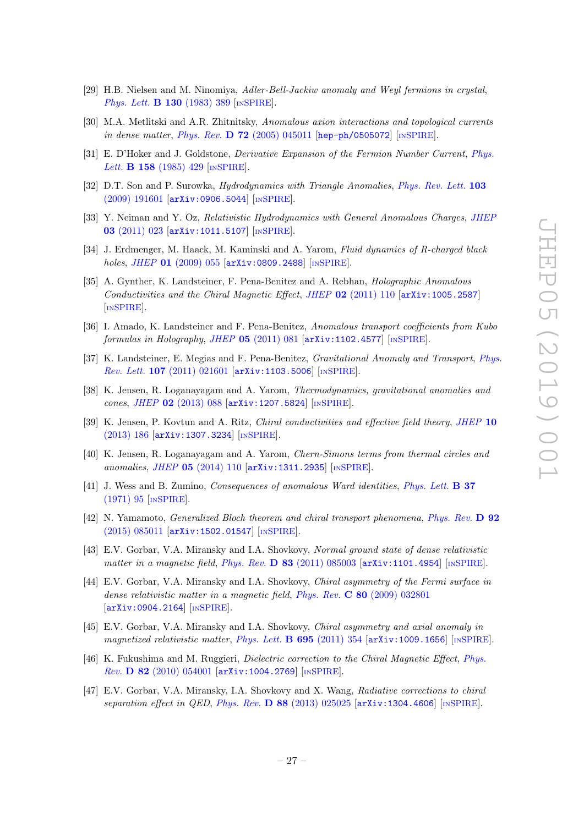- <span id="page-27-0"></span>[29] H.B. Nielsen and M. Ninomiya, Adler-Bell-Jackiw anomaly and Weyl fermions in crystal, [Phys. Lett.](https://doi.org/10.1016/0370-2693(83)91529-0) B 130 (1983) 389 [IN[SPIRE](https://inspirehep.net/search?p=find+J+%22Phys.Lett.,B130,389%22)].
- <span id="page-27-1"></span>[30] M.A. Metlitski and A.R. Zhitnitsky, Anomalous axion interactions and topological currents in dense matter, Phys. Rev.  $\bf{D}$  72 [\(2005\) 045011](https://doi.org/10.1103/PhysRevD.72.045011) [[hep-ph/0505072](https://arxiv.org/abs/hep-ph/0505072)] [IN[SPIRE](https://inspirehep.net/search?p=find+J+%22Phys.Rev.,D72,045011%22)].
- <span id="page-27-2"></span>[31] E. D'Hoker and J. Goldstone, Derivative Expansion of the Fermion Number Current, [Phys.](https://doi.org/10.1016/0370-2693(85)90446-0) Lett. **B 158** [\(1985\) 429](https://doi.org/10.1016/0370-2693(85)90446-0) [IN[SPIRE](https://inspirehep.net/search?p=find+J+%22Phys.Lett.,B158,429%22)].
- <span id="page-27-3"></span>[32] D.T. Son and P. Surowka, *Hydrodynamics with Triangle Anomalies, [Phys. Rev. Lett.](https://doi.org/10.1103/PhysRevLett.103.191601)* 103 [\(2009\) 191601](https://doi.org/10.1103/PhysRevLett.103.191601) [[arXiv:0906.5044](https://arxiv.org/abs/0906.5044)] [IN[SPIRE](https://inspirehep.net/search?p=find+J+%22Phys.Rev.Lett.,103,191601%22)].
- <span id="page-27-4"></span>[33] Y. Neiman and Y. Oz, Relativistic Hydrodynamics with General Anomalous Charges, [JHEP](https://doi.org/10.1007/JHEP03(2011)023) 03 [\(2011\) 023](https://doi.org/10.1007/JHEP03(2011)023) [[arXiv:1011.5107](https://arxiv.org/abs/1011.5107)] [IN[SPIRE](https://inspirehep.net/search?p=find+J+%22JHEP,1103,023%22)].
- <span id="page-27-5"></span>[34] J. Erdmenger, M. Haack, M. Kaminski and A. Yarom, *Fluid dynamics of R-charged black* holes, JHEP 01 [\(2009\) 055](https://doi.org/10.1088/1126-6708/2009/01/055) [[arXiv:0809.2488](https://arxiv.org/abs/0809.2488)] [IN[SPIRE](https://inspirehep.net/search?p=find+J+%22JHEP,0901,055%22)].
- [35] A. Gynther, K. Landsteiner, F. Pena-Benitez and A. Rebhan, Holographic Anomalous Conductivities and the Chiral Magnetic Effect, JHEP 02 [\(2011\) 110](https://doi.org/10.1007/JHEP02(2011)110) [[arXiv:1005.2587](https://arxiv.org/abs/1005.2587)] [IN[SPIRE](https://inspirehep.net/search?p=find+J+%22JHEP,1102,110%22)].
- [36] I. Amado, K. Landsteiner and F. Pena-Benitez, Anomalous transport coefficients from Kubo formulas in Holography, JHEP  $05$  [\(2011\) 081](https://doi.org/10.1007/JHEP05(2011)081)  $\left[$ [arXiv:1102.4577](https://arxiv.org/abs/1102.4577) $\right]$   $\left[$ IN[SPIRE](https://inspirehep.net/search?p=find+J+%22JHEP,1105,081%22) $\right]$ .
- <span id="page-27-6"></span>[37] K. Landsteiner, E. Megias and F. Pena-Benitez, *Gravitational Anomaly and Transport, [Phys.](https://doi.org/10.1103/PhysRevLett.107.021601)* Rev. Lett. 107 [\(2011\) 021601](https://doi.org/10.1103/PhysRevLett.107.021601) [[arXiv:1103.5006](https://arxiv.org/abs/1103.5006)] [IN[SPIRE](https://inspirehep.net/search?p=find+J+%22Phys.Rev.Lett.,107,021601%22)].
- <span id="page-27-7"></span>[38] K. Jensen, R. Loganayagam and A. Yarom, Thermodynamics, gravitational anomalies and cones, JHEP 02 [\(2013\) 088](https://doi.org/10.1007/JHEP02(2013)088) [[arXiv:1207.5824](https://arxiv.org/abs/1207.5824)] [IN[SPIRE](https://inspirehep.net/search?p=find+J+%22JHEP,1302,088%22)].
- [39] K. Jensen, P. Kovtun and A. Ritz, Chiral conductivities and effective field theory, [JHEP](https://doi.org/10.1007/JHEP10(2013)186) 10 [\(2013\) 186](https://doi.org/10.1007/JHEP10(2013)186) [[arXiv:1307.3234](https://arxiv.org/abs/1307.3234)] [IN[SPIRE](https://inspirehep.net/search?p=find+J+%22JHEP,1310,186%22)].
- <span id="page-27-8"></span>[40] K. Jensen, R. Loganayagam and A. Yarom, Chern-Simons terms from thermal circles and anomalies, JHEP 05 [\(2014\) 110](https://doi.org/10.1007/JHEP05(2014)110) [[arXiv:1311.2935](https://arxiv.org/abs/1311.2935)] [IN[SPIRE](https://inspirehep.net/search?p=find+J+%22JHEP,1405,110%22)].
- <span id="page-27-9"></span>[41] J. Wess and B. Zumino, Consequences of anomalous Ward identities, [Phys. Lett.](https://doi.org/10.1016/0370-2693(71)90582-X) B 37 [\(1971\) 95](https://doi.org/10.1016/0370-2693(71)90582-X) [IN[SPIRE](https://inspirehep.net/search?p=find+J+%22Phys.Lett.,B37,95%22)].
- <span id="page-27-10"></span>[42] N. Yamamoto, Generalized Bloch theorem and chiral transport phenomena, [Phys. Rev.](https://doi.org/10.1103/PhysRevD.92.085011) D 92 [\(2015\) 085011](https://doi.org/10.1103/PhysRevD.92.085011) [[arXiv:1502.01547](https://arxiv.org/abs/1502.01547)] [IN[SPIRE](https://inspirehep.net/search?p=find+J+%22Phys.Rev.,D92,085011%22)].
- <span id="page-27-11"></span>[43] E.V. Gorbar, V.A. Miransky and I.A. Shovkovy, Normal ground state of dense relativistic matter in a magnetic field, Phys. Rev.  $\bf{D}$  83 [\(2011\) 085003](https://doi.org/10.1103/PhysRevD.83.085003) [[arXiv:1101.4954](https://arxiv.org/abs/1101.4954)] [IN[SPIRE](https://inspirehep.net/search?p=find+J+%22Phys.Rev.,D83,085003%22)].
- [44] E.V. Gorbar, V.A. Miransky and I.A. Shovkovy, Chiral asymmetry of the Fermi surface in dense relativistic matter in a magnetic field, Phys. Rev. C 80 [\(2009\) 032801](https://doi.org/10.1103/PhysRevC.80.032801) [[arXiv:0904.2164](https://arxiv.org/abs/0904.2164)] [IN[SPIRE](https://inspirehep.net/search?p=find+J+%22Phys.Rev.,C80,032801%22)].
- [45] E.V. Gorbar, V.A. Miransky and I.A. Shovkovy, Chiral asymmetry and axial anomaly in magnetized relativistic matter, [Phys. Lett.](https://doi.org/10.1016/j.physletb.2010.11.022) **B 695** (2011) 354  $arXiv:1009.1656$  [IN[SPIRE](https://inspirehep.net/search?p=find+J+%22Phys.Lett.,B695,354%22)].
- [46] K. Fukushima and M. Ruggieri, Dielectric correction to the Chiral Magnetic Effect, [Phys.](https://doi.org/10.1103/PhysRevD.82.054001) Rev. D 82 [\(2010\) 054001](https://doi.org/10.1103/PhysRevD.82.054001) [[arXiv:1004.2769](https://arxiv.org/abs/1004.2769)] [IN[SPIRE](https://inspirehep.net/search?p=find+J+%22Phys.Rev.,D82,054001%22)].
- [47] E.V. Gorbar, V.A. Miransky, I.A. Shovkovy and X. Wang, Radiative corrections to chiral separation effect in QED, Phys. Rev.  $\bf{D}$  88 [\(2013\) 025025](https://doi.org/10.1103/PhysRevD.88.025025) [[arXiv:1304.4606](https://arxiv.org/abs/1304.4606)] [IN[SPIRE](https://inspirehep.net/search?p=find+J+%22Phys.Rev.,D88,025025%22)].